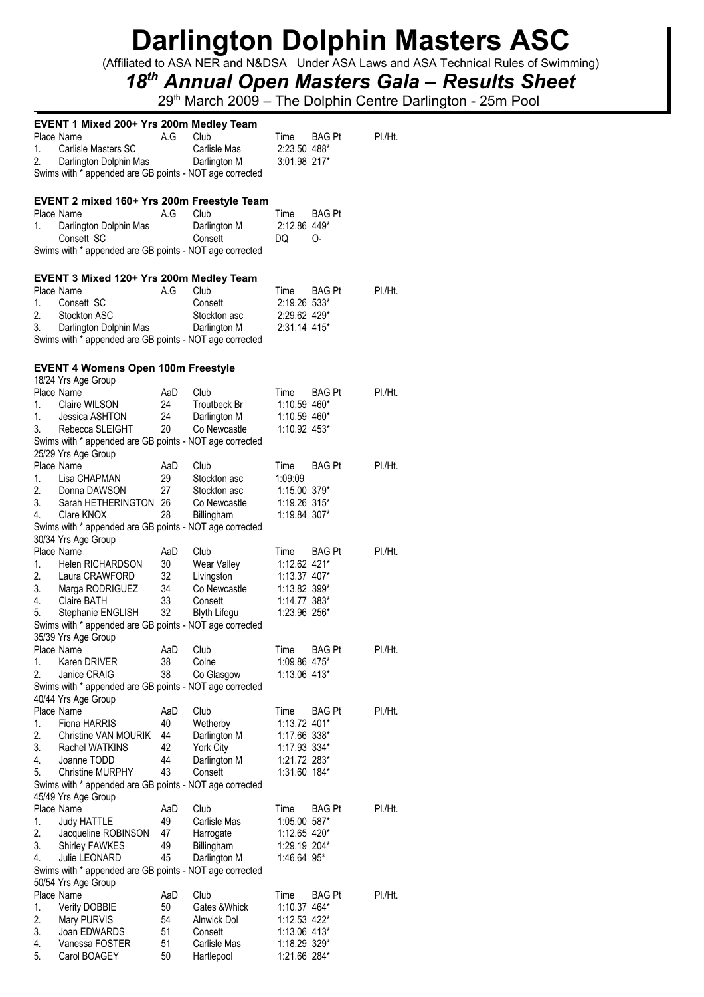(Affiliated to ASA NER and N&DSA Under ASA Laws and ASA Technical Rules of Swimming)

## *18th Annual Open Masters Gala – Results Sheet*

|          | <b>EVENT 1 Mixed 200+ Yrs 200m Medley Team</b>          |          |               |              |               |         |
|----------|---------------------------------------------------------|----------|---------------|--------------|---------------|---------|
|          | Place Name                                              | A.G      | Club          | Time         | BAG Pt        | PI./Ht. |
| 1.       | Carlisle Masters SC                                     |          | Carlisle Mas  | 2:23.50 488* |               |         |
| 2.       | Darlington Dolphin Mas                                  |          | Darlington M  | 3:01.98 217* |               |         |
|          | Swims with * appended are GB points - NOT age corrected |          |               |              |               |         |
|          |                                                         |          |               |              |               |         |
|          |                                                         |          |               |              |               |         |
|          | EVENT 2 mixed 160+ Yrs 200m Freestyle Team              |          |               |              |               |         |
|          | Place Name                                              | A.G      | Club          | Time         | <b>BAG Pt</b> |         |
| 1.       | Darlington Dolphin Mas                                  |          | Darlington M  | 2:12.86 449* |               |         |
|          | Consett SC                                              |          | Consett       | DQ           | O-            |         |
|          | Swims with * appended are GB points - NOT age corrected |          |               |              |               |         |
|          |                                                         |          |               |              |               |         |
|          | EVENT 3 Mixed 120+ Yrs 200m Medley Team                 |          |               |              |               |         |
|          | Place Name                                              | A.G      | Club          | Time         | <b>BAG Pt</b> | PI./Ht. |
| 1.       | Consett SC                                              |          | Consett       | 2:19.26 533* |               |         |
| 2.       | Stockton ASC                                            |          | Stockton asc  | 2:29.62 429* |               |         |
| 3.       | Darlington Dolphin Mas                                  |          | Darlington M  | 2:31.14 415* |               |         |
|          | Swims with * appended are GB points - NOT age corrected |          |               |              |               |         |
|          |                                                         |          |               |              |               |         |
|          | <b>EVENT 4 Womens Open 100m Freestyle</b>               |          |               |              |               |         |
|          | 18/24 Yrs Age Group                                     |          |               |              |               |         |
|          | Place Name                                              | AaD      | Club          | Time         | <b>BAG Pt</b> | PI./Ht. |
| 1.       | Claire WILSON                                           | 24       | Troutbeck Br  | 1:10.59 460* |               |         |
|          | Jessica ASHTON                                          |          |               | 1:10.59 460* |               |         |
| 1.<br>3. |                                                         | 24<br>20 | Darlington M  |              |               |         |
|          | Rebecca SLEIGHT                                         |          | Co Newcastle  | 1:10.92 453* |               |         |
|          | Swims with * appended are GB points - NOT age corrected |          |               |              |               |         |
|          | 25/29 Yrs Age Group                                     |          |               |              |               |         |
|          | Place Name                                              | AaD      | Club          | Time         | <b>BAG Pt</b> | PI./Ht. |
| 1.       | Lisa CHAPMAN                                            | 29       | Stockton asc  | 1:09:09      |               |         |
| 2.       | Donna DAWSON                                            | 27       | Stockton asc  | 1:15.00 379* |               |         |
| 3.       | Sarah HETHERINGTON 26                                   |          | Co Newcastle  | 1:19.26 315* |               |         |
| 4.       | Clare KNOX                                              | 28       | Billingham    | 1:19.84 307* |               |         |
|          | Swims with * appended are GB points - NOT age corrected |          |               |              |               |         |
|          | 30/34 Yrs Age Group                                     |          |               |              |               |         |
|          | Place Name                                              | AaD      | Club          | Time         | <b>BAG Pt</b> | PI./Ht. |
| 1.       | Helen RICHARDSON                                        | 30       | Wear Valley   | 1:12.62 421* |               |         |
| 2.       | Laura CRAWFORD                                          | 32       | Livingston    | 1:13.37 407* |               |         |
| 3.       | Marga RODRIGUEZ                                         | 34       | Co Newcastle  | 1:13.82 399* |               |         |
| 4.       | Claire BATH                                             | 33       | Consett       | 1:14.77 383* |               |         |
| 5.       | Stephanie ENGLISH                                       | 32       | Blyth Lifegu  | 1:23.96 256* |               |         |
|          | Swims with * appended are GB points - NOT age corrected |          |               |              |               |         |
|          | 35/39 Yrs Age Group                                     |          |               |              |               |         |
|          | Place Name                                              | AaD Club |               | Time BAG Pt  |               | PI./Ht. |
| 1.       | Karen DRIVER                                            | 38       | Colne         | 1:09.86 475* |               |         |
| 2.       | Janice CRAIG                                            | 38       | Co Glasgow    | 1:13.06 413* |               |         |
|          | Swims with * appended are GB points - NOT age corrected |          |               |              |               |         |
|          |                                                         |          |               |              |               |         |
|          | 40/44 Yrs Age Group<br>Place Name                       |          |               |              |               |         |
|          |                                                         | AaD      | Club          | Time         | <b>BAG Pt</b> | PI./Ht. |
| 1.       | Fiona HARRIS                                            | 40       | Wetherby      | 1:13.72 401* |               |         |
| 2.       | <b>Christine VAN MOURIK</b>                             | 44       | Darlington M  | 1:17.66 338* |               |         |
| 3.       | Rachel WATKINS                                          | 42       | York City     | 1:17.93 334* |               |         |
| 4.       | Joanne TODD                                             | 44       | Darlington M  | 1:21.72 283* |               |         |
| 5.       | <b>Christine MURPHY</b>                                 | 43       | Consett       | 1:31.60 184* |               |         |
|          | Swims with * appended are GB points - NOT age corrected |          |               |              |               |         |
|          | 45/49 Yrs Age Group                                     |          |               |              |               |         |
|          | Place Name                                              | AaD      | Club          | Time         | BAG Pt        | PI./Ht. |
| 1.       | Judy HATTLE                                             | 49       | Carlisle Mas  | 1:05.00 587* |               |         |
| 2.       | Jacqueline ROBINSON                                     | 47       | Harrogate     | 1:12.65 420* |               |         |
| 3.       | <b>Shirley FAWKES</b>                                   | 49       | Billingham    | 1:29.19 204* |               |         |
| 4.       | Julie LEONARD                                           | 45       | Darlington M  | 1:46.64 95*  |               |         |
|          | Swims with * appended are GB points - NOT age corrected |          |               |              |               |         |
|          | 50/54 Yrs Age Group                                     |          |               |              |               |         |
|          | Place Name                                              | AaD      | Club          | Time         | BAG Pt        | PI./Ht. |
| 1.       | <b>Verity DOBBIE</b>                                    | 50       | Gates & Whick | 1:10.37 464* |               |         |
| 2.       | Mary PURVIS                                             | 54       | Alnwick Dol   | 1:12.53 422* |               |         |
| 3.       | Joan EDWARDS                                            | 51       | Consett       | 1:13.06 413* |               |         |
| 4.       | Vanessa FOSTER                                          | 51       | Carlisle Mas  | 1:18.29 329* |               |         |
| 5.       | Carol BOAGEY                                            | 50       | Hartlepool    | 1:21.66 284* |               |         |
|          |                                                         |          |               |              |               |         |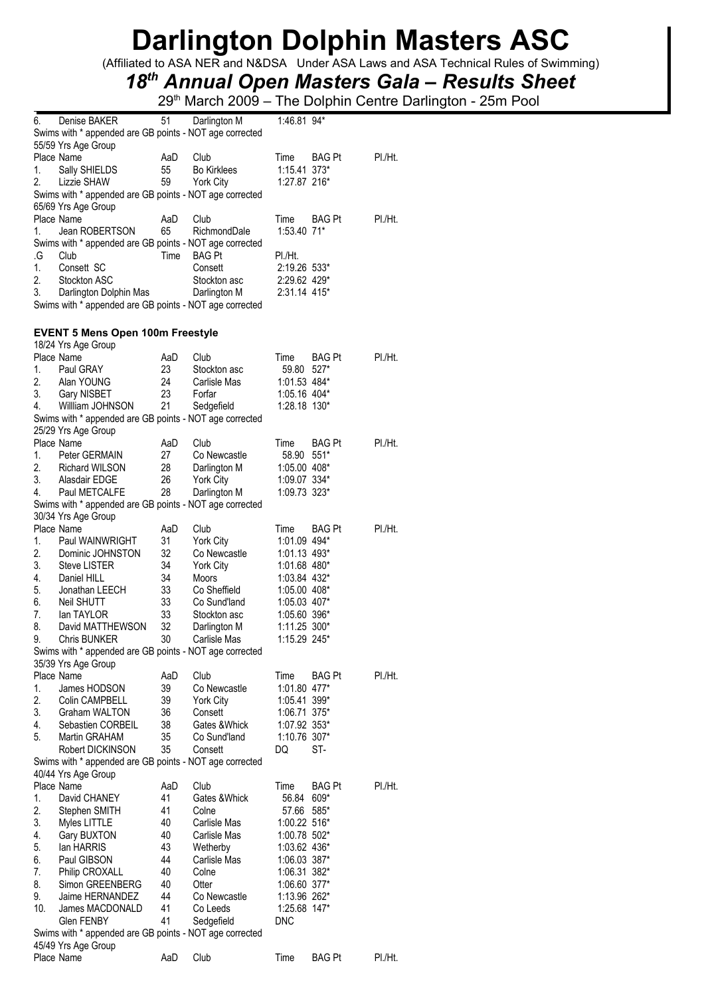(Affiliated to ASA NER and N&DSA Under ASA Laws and ASA Technical Rules of Swimming)

## *18th Annual Open Masters Gala – Results Sheet*

| 6.       | Denise BAKER                                            | 51       | Darlington M                 | $1:46.81$ 94*                |               |         |
|----------|---------------------------------------------------------|----------|------------------------------|------------------------------|---------------|---------|
|          | Swims with * appended are GB points - NOT age corrected |          |                              |                              |               |         |
|          | 55/59 Yrs Age Group                                     |          |                              |                              |               |         |
|          | Place Name                                              | AaD      | Club                         | Time                         | <b>BAG Pt</b> | PI./Ht. |
| 1.       | Sally SHIELDS                                           | 55       | <b>Bo Kirklees</b>           | 1:15.41 373*                 |               |         |
| 2.       | Lizzie SHAW                                             | 59       | <b>York City</b>             | 1:27.87 216*                 |               |         |
|          | Swims with * appended are GB points - NOT age corrected |          |                              |                              |               |         |
|          | 65/69 Yrs Age Group                                     |          |                              |                              |               |         |
|          | Place Name                                              | AaD      | Club                         | Time                         | BAG Pt        | PI./Ht. |
| 1.       | Jean ROBERTSON                                          | 65       | RichmondDale                 | 1:53.40 71*                  |               |         |
|          | Swims with * appended are GB points - NOT age corrected |          |                              |                              |               |         |
| .G       | Club                                                    | Time     | <b>BAG Pt</b>                | PI./Ht.                      |               |         |
| 1.       | Consett SC                                              |          | Consett                      | 2:19.26 533*                 |               |         |
| 2.       | Stockton ASC                                            |          | Stockton asc                 | 2:29.62 429*                 |               |         |
| 3.       | Darlington Dolphin Mas                                  |          | Darlington M                 | 2:31.14 415*                 |               |         |
|          | Swims with * appended are GB points - NOT age corrected |          |                              |                              |               |         |
|          |                                                         |          |                              |                              |               |         |
|          | <b>EVENT 5 Mens Open 100m Freestyle</b>                 |          |                              |                              |               |         |
|          | 18/24 Yrs Age Group                                     |          |                              |                              |               |         |
|          | Place Name                                              | AaD      | Club                         | Time                         | BAG Pt        | PI./Ht. |
| 1.       | Paul GRAY                                               | 23       | Stockton asc                 | 59.80                        | $527*$        |         |
| 2.       | Alan YOUNG                                              | 24       | Carlisle Mas                 | 1:01.53 484*                 |               |         |
| 3.       | Gary NISBET                                             | 23       | Forfar                       | 1:05.16 404*                 |               |         |
| 4.       | Willliam JOHNSON                                        | 21       | Sedgefield                   | 1:28.18 130*                 |               |         |
|          | Swims with * appended are GB points - NOT age corrected |          |                              |                              |               |         |
|          | 25/29 Yrs Age Group                                     |          |                              |                              |               |         |
|          | Place Name                                              | AaD      | Club                         | Time                         | <b>BAG Pt</b> | PI./Ht. |
| 1.       | Peter GERMAIN                                           | 27       | Co Newcastle                 | 58.90                        | $551*$        |         |
| 2.       | Richard WILSON                                          | 28       | Darlington M                 | $1:05.00$ 408*               |               |         |
| 3.       | Alasdair EDGE                                           | 26       | York City                    | 1:09.07 334*                 |               |         |
| 4.       | Paul METCALFE                                           | 28       | Darlington M                 | 1:09.73 323*                 |               |         |
|          | Swims with * appended are GB points - NOT age corrected |          |                              |                              |               |         |
|          | 30/34 Yrs Age Group                                     |          |                              |                              |               |         |
|          | Place Name                                              | AaD      | Club                         | Time                         | <b>BAG Pt</b> | PI./Ht. |
| 1.       | Paul WAINWRIGHT                                         | 31       | York City                    | 1:01.09 494*                 |               |         |
| 2.       | Dominic JOHNSTON                                        | 32       | Co Newcastle                 | 1:01.13 493*                 |               |         |
| 3.       | <b>Steve LISTER</b>                                     | 34       | York City                    | 1:01.68 480*                 |               |         |
| 4.       | Daniel HILL                                             | 34       | Moors                        | 1:03.84 432*                 |               |         |
| 5.       | Jonathan LEECH                                          | 33       | Co Sheffield                 | 1:05.00 408*                 |               |         |
| 6.       | <b>Neil SHUTT</b>                                       | 33       | Co Sund'land                 | 1:05.03 407*                 |               |         |
| 7.       | lan TAYLOR<br>David MATTHEWSON                          | 33       | Stockton asc                 | 1:05.60 396*                 |               |         |
| 8.<br>9. | <b>Chris BUNKER</b>                                     | 32<br>30 | Darlington M<br>Carlisle Mas | 1:11.25 300*<br>1:15.29 245* |               |         |
|          | Swims with * appended are GB points - NOT age corrected |          |                              |                              |               |         |
|          | 35/39 Yrs Age Group                                     |          |                              |                              |               |         |
|          | Place Name                                              | AaD      | Club                         | Time                         | <b>BAG Pt</b> | PI./Ht. |
| 1.       | James HODSON                                            | 39       | Co Newcastle                 | 1:01.80 477*                 |               |         |
| 2.       | Colin CAMPBELL                                          | 39       | York City                    | 1:05.41 399*                 |               |         |
| 3.       | <b>Graham WALTON</b>                                    | 36       | Consett                      | 1:06.71 375*                 |               |         |
| 4.       | Sebastien CORBEIL                                       | 38       | Gates & Whick                | 1:07.92 353*                 |               |         |
| 5.       | Martin GRAHAM                                           | 35       | Co Sund'land                 | 1:10.76 307*                 |               |         |
|          | Robert DICKINSON                                        | 35       | Consett                      | DQ                           | ST-           |         |
|          | Swims with * appended are GB points - NOT age corrected |          |                              |                              |               |         |
|          | 40/44 Yrs Age Group                                     |          |                              |                              |               |         |
|          | Place Name                                              | AaD      | Club                         | Time                         | <b>BAG Pt</b> | PI./Ht. |
| 1.       | David CHANEY                                            | 41       | Gates & Whick                | 56.84                        | 609*          |         |
| 2.       | Stephen SMITH                                           | 41       | Colne                        | 57.66 585*                   |               |         |
| 3.       | Myles LITTLE                                            | 40       | Carlisle Mas                 | 1:00.22 516*                 |               |         |
| 4.       | Gary BUXTON                                             | 40       | Carlisle Mas                 | 1:00.78 502*                 |               |         |
| 5.       | lan HARRIS                                              | 43       | Wetherby                     | 1:03.62 436*                 |               |         |
| 6.       | Paul GIBSON                                             | 44       | Carlisle Mas                 | 1:06.03 387*                 |               |         |
| 7.       | Philip CROXALL                                          | 40       | Colne                        | 1:06.31 382*                 |               |         |
| 8.       | Simon GREENBERG                                         | 40       | Otter                        | 1:06.60 377*                 |               |         |
| 9.       | Jaime HERNANDEZ                                         | 44       | Co Newcastle                 | 1:13.96 262*                 |               |         |
| 10.      | James MACDONALD                                         | 41       | Co Leeds                     | 1:25.68 147*                 |               |         |
|          | Glen FENBY                                              | 41       | Sedgefield                   | <b>DNC</b>                   |               |         |
|          | Swims with * appended are GB points - NOT age corrected |          |                              |                              |               |         |
|          | 45/49 Yrs Age Group                                     |          |                              |                              |               |         |
|          | Place Name                                              | AaD      | Club                         | Time                         | <b>BAG Pt</b> | PI./Ht. |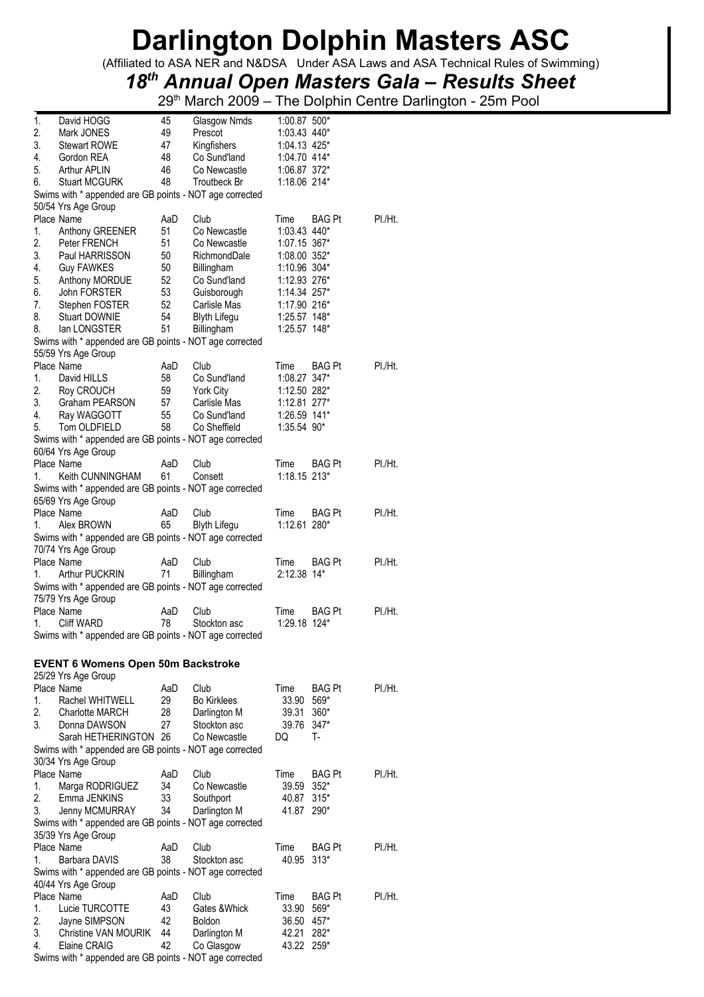(Affiliated to ASA NER and N&DSA Under ASA Laws and ASA Technical Rules of Swimming)

## *18th Annual Open Masters Gala – Results Sheet*

| 1:03.43 440*<br>Prescot<br>3.<br><b>Stewart ROWE</b><br>47<br>Kingfishers<br>1:04.13 425*<br>1:04.70 414*<br>4.<br>Gordon REA<br>48<br>Co Sund'land<br>5.<br>Arthur APLIN<br>46<br>Co Newcastle<br>1:06.87 372*<br>6.<br><b>Stuart MCGURK</b><br>48<br>Troutbeck Br<br>1:18.06 214*<br>Swims with * appended are GB points - NOT age corrected<br>50/54 Yrs Age Group<br>Place Name<br>AaD<br>Club<br>Time<br><b>BAG Pt</b><br>PI./Ht.<br>1.<br>51<br>Co Newcastle<br>1:03.43 440*<br>Anthony GREENER<br>2.<br>Peter FRENCH<br>51<br>1:07.15 367*<br>Co Newcastle<br>3.<br>Paul HARRISSON<br>50<br>RichmondDale<br>1:08.00 352*<br>4.<br><b>Guy FAWKES</b><br>50<br>1:10.96 304*<br>Billingham<br>5.<br>Anthony MORDUE<br>52<br>Co Sund'land<br>1:12.93 276*<br>6.<br>John FORSTER<br>53<br>1:14.34 257*<br>Guisborough<br>7.<br>Stephen FOSTER<br>52<br>Carlisle Mas<br>1:17.90 216*<br>8.<br><b>Stuart DOWNIE</b><br>54<br><b>Blyth Lifegu</b><br>1:25.57 148*<br>8.<br>lan LONGSTER<br>51<br>Billingham<br>1:25.57 148*<br>Swims with * appended are GB points - NOT age corrected<br>55/59 Yrs Age Group<br>Place Name<br>PI./Ht.<br>AaD<br>Club<br>Time<br>BAG Pt<br>Co Sund'land<br>1:08.27 347*<br>1.<br>David HILLS<br>58<br>2.<br>Roy CROUCH<br>59<br><b>York City</b><br>1:12.50 282*<br>3.<br>Graham PEARSON<br>57<br>Carlisle Mas<br>1:12.81 277*<br>4.<br>Ray WAGGOTT<br>55<br>Co Sund'land<br>1:26.59 141*<br>58<br>5.<br>Tom OLDFIELD<br>Co Sheffield<br>1:35.54 90*<br>Swims with * appended are GB points - NOT age corrected<br>60/64 Yrs Age Group<br>Place Name<br>AaD<br>Club<br>PI./Ht.<br>Time<br><b>BAG Pt</b><br>61<br>1:18.15 213*<br>1.<br>Keith CUNNINGHAM<br>Consett<br>Swims with * appended are GB points - NOT age corrected<br>65/69 Yrs Age Group<br>Place Name<br>AaD<br>Club<br>Time<br><b>BAG Pt</b><br>PI./Ht.<br>1.<br>Alex BROWN<br>65<br><b>Blyth Lifegu</b><br>1:12.61 280*<br>Swims with * appended are GB points - NOT age corrected<br>70/74 Yrs Age Group<br>Place Name<br>AaD<br>Club<br>Time<br><b>BAG Pt</b><br>PI./Ht.<br>2:12.38 14*<br>1.<br>Arthur PUCKRIN<br>71<br>Billingham<br>Swims with * appended are GB points - NOT age corrected<br>75/79 Yrs Age Group<br>Place Name<br>Club<br>PI./Ht.<br>AaD<br>Time<br>BAG Pt<br>78<br>1:29.18 124*<br><b>Cliff WARD</b><br>Stockton asc<br>1.<br>Swims with * appended are GB points - NOT age corrected<br><b>EVENT 6 Womens Open 50m Backstroke</b><br>25/29 Yrs Age Group<br>Place Name<br>AaD<br>Club<br>Time<br><b>BAG Pt</b><br>PI./Ht.<br>29<br>33.90<br>1.<br>Rachel WHITWELL<br><b>Bo Kirklees</b><br>569*<br>2.<br>28<br>39.31<br>$360*$<br><b>Charlotte MARCH</b><br>Darlington M<br>3.<br>Stockton asc<br>39.76<br>Donna DAWSON<br>27<br>$347*$<br>Sarah HETHERINGTON 26<br>Co Newcastle<br>DQ<br>т.<br>Swims with * appended are GB points - NOT age corrected<br>30/34 Yrs Age Group<br>Place Name<br>AaD<br>Club<br>Time<br><b>BAG Pt</b><br>PI./Ht.<br>34<br>39.59<br>1.<br>Marga RODRIGUEZ<br>Co Newcastle<br>$352*$<br>2.<br>Emma JENKINS<br>33<br>40.87<br>$315*$<br>Southport<br>3.<br>34<br>Jenny MCMURRAY<br>Darlington M<br>41.87 290*<br>Swims with * appended are GB points - NOT age corrected<br>35/39 Yrs Age Group<br>Place Name<br>AaD<br>Club<br>PI./Ht.<br>Time<br>BAG Pt<br>38<br>1.<br>Barbara DAVIS<br>Stockton asc<br>40.95<br>$313*$<br>Swims with * appended are GB points - NOT age corrected<br>40/44 Yrs Age Group<br>Place Name<br>AaD<br>Club<br>Time<br><b>BAG Pt</b><br>PI./Ht.<br>Lucie TURCOTTE<br>43<br>Gates & Whick<br>33.90<br>569*<br>1.<br>2.<br>42<br>Jayne SIMPSON<br>36.50<br>457*<br><b>Boldon</b><br>3.<br>Christine VAN MOURIK<br>44<br>Darlington M<br>42.21<br>282*<br>42<br>43.22 259*<br>4.<br>Elaine CRAIG<br>Co Glasgow<br>Swims with * appended are GB points - NOT age corrected | 1. | David HOGG | 45 | Glasgow Nmds | 1:00.87 500* |  |
|--------------------------------------------------------------------------------------------------------------------------------------------------------------------------------------------------------------------------------------------------------------------------------------------------------------------------------------------------------------------------------------------------------------------------------------------------------------------------------------------------------------------------------------------------------------------------------------------------------------------------------------------------------------------------------------------------------------------------------------------------------------------------------------------------------------------------------------------------------------------------------------------------------------------------------------------------------------------------------------------------------------------------------------------------------------------------------------------------------------------------------------------------------------------------------------------------------------------------------------------------------------------------------------------------------------------------------------------------------------------------------------------------------------------------------------------------------------------------------------------------------------------------------------------------------------------------------------------------------------------------------------------------------------------------------------------------------------------------------------------------------------------------------------------------------------------------------------------------------------------------------------------------------------------------------------------------------------------------------------------------------------------------------------------------------------------------------------------------------------------------------------------------------------------------------------------------------------------------------------------------------------------------------------------------------------------------------------------------------------------------------------------------------------------------------------------------------------------------------------------------------------------------------------------------------------------------------------------------------------------------------------------------------------------------------------------------------------------------------------------------------------------------------------------------------------------------------------------------------------------------------------------------------------------------------------------------------------------------------------------------------------------------------------------------------------------------------------------------------------------------------------------------------------------------------------------------------------------------------------------------------------------------------------------------------------------------------------------------------------------------------------------------------------------------------------------------------------------------------------------------------------------------------------------------------------------------------------------------------------------------------------------------------------------------------------------------------------------------------------------------------------------------------------------------------------------------------------------------------|----|------------|----|--------------|--------------|--|
|                                                                                                                                                                                                                                                                                                                                                                                                                                                                                                                                                                                                                                                                                                                                                                                                                                                                                                                                                                                                                                                                                                                                                                                                                                                                                                                                                                                                                                                                                                                                                                                                                                                                                                                                                                                                                                                                                                                                                                                                                                                                                                                                                                                                                                                                                                                                                                                                                                                                                                                                                                                                                                                                                                                                                                                                                                                                                                                                                                                                                                                                                                                                                                                                                                                                                                                                                                                                                                                                                                                                                                                                                                                                                                                                                                                                                                                        | 2. | Mark JONES | 49 |              |              |  |
|                                                                                                                                                                                                                                                                                                                                                                                                                                                                                                                                                                                                                                                                                                                                                                                                                                                                                                                                                                                                                                                                                                                                                                                                                                                                                                                                                                                                                                                                                                                                                                                                                                                                                                                                                                                                                                                                                                                                                                                                                                                                                                                                                                                                                                                                                                                                                                                                                                                                                                                                                                                                                                                                                                                                                                                                                                                                                                                                                                                                                                                                                                                                                                                                                                                                                                                                                                                                                                                                                                                                                                                                                                                                                                                                                                                                                                                        |    |            |    |              |              |  |
|                                                                                                                                                                                                                                                                                                                                                                                                                                                                                                                                                                                                                                                                                                                                                                                                                                                                                                                                                                                                                                                                                                                                                                                                                                                                                                                                                                                                                                                                                                                                                                                                                                                                                                                                                                                                                                                                                                                                                                                                                                                                                                                                                                                                                                                                                                                                                                                                                                                                                                                                                                                                                                                                                                                                                                                                                                                                                                                                                                                                                                                                                                                                                                                                                                                                                                                                                                                                                                                                                                                                                                                                                                                                                                                                                                                                                                                        |    |            |    |              |              |  |
|                                                                                                                                                                                                                                                                                                                                                                                                                                                                                                                                                                                                                                                                                                                                                                                                                                                                                                                                                                                                                                                                                                                                                                                                                                                                                                                                                                                                                                                                                                                                                                                                                                                                                                                                                                                                                                                                                                                                                                                                                                                                                                                                                                                                                                                                                                                                                                                                                                                                                                                                                                                                                                                                                                                                                                                                                                                                                                                                                                                                                                                                                                                                                                                                                                                                                                                                                                                                                                                                                                                                                                                                                                                                                                                                                                                                                                                        |    |            |    |              |              |  |
|                                                                                                                                                                                                                                                                                                                                                                                                                                                                                                                                                                                                                                                                                                                                                                                                                                                                                                                                                                                                                                                                                                                                                                                                                                                                                                                                                                                                                                                                                                                                                                                                                                                                                                                                                                                                                                                                                                                                                                                                                                                                                                                                                                                                                                                                                                                                                                                                                                                                                                                                                                                                                                                                                                                                                                                                                                                                                                                                                                                                                                                                                                                                                                                                                                                                                                                                                                                                                                                                                                                                                                                                                                                                                                                                                                                                                                                        |    |            |    |              |              |  |
|                                                                                                                                                                                                                                                                                                                                                                                                                                                                                                                                                                                                                                                                                                                                                                                                                                                                                                                                                                                                                                                                                                                                                                                                                                                                                                                                                                                                                                                                                                                                                                                                                                                                                                                                                                                                                                                                                                                                                                                                                                                                                                                                                                                                                                                                                                                                                                                                                                                                                                                                                                                                                                                                                                                                                                                                                                                                                                                                                                                                                                                                                                                                                                                                                                                                                                                                                                                                                                                                                                                                                                                                                                                                                                                                                                                                                                                        |    |            |    |              |              |  |
|                                                                                                                                                                                                                                                                                                                                                                                                                                                                                                                                                                                                                                                                                                                                                                                                                                                                                                                                                                                                                                                                                                                                                                                                                                                                                                                                                                                                                                                                                                                                                                                                                                                                                                                                                                                                                                                                                                                                                                                                                                                                                                                                                                                                                                                                                                                                                                                                                                                                                                                                                                                                                                                                                                                                                                                                                                                                                                                                                                                                                                                                                                                                                                                                                                                                                                                                                                                                                                                                                                                                                                                                                                                                                                                                                                                                                                                        |    |            |    |              |              |  |
|                                                                                                                                                                                                                                                                                                                                                                                                                                                                                                                                                                                                                                                                                                                                                                                                                                                                                                                                                                                                                                                                                                                                                                                                                                                                                                                                                                                                                                                                                                                                                                                                                                                                                                                                                                                                                                                                                                                                                                                                                                                                                                                                                                                                                                                                                                                                                                                                                                                                                                                                                                                                                                                                                                                                                                                                                                                                                                                                                                                                                                                                                                                                                                                                                                                                                                                                                                                                                                                                                                                                                                                                                                                                                                                                                                                                                                                        |    |            |    |              |              |  |
|                                                                                                                                                                                                                                                                                                                                                                                                                                                                                                                                                                                                                                                                                                                                                                                                                                                                                                                                                                                                                                                                                                                                                                                                                                                                                                                                                                                                                                                                                                                                                                                                                                                                                                                                                                                                                                                                                                                                                                                                                                                                                                                                                                                                                                                                                                                                                                                                                                                                                                                                                                                                                                                                                                                                                                                                                                                                                                                                                                                                                                                                                                                                                                                                                                                                                                                                                                                                                                                                                                                                                                                                                                                                                                                                                                                                                                                        |    |            |    |              |              |  |
|                                                                                                                                                                                                                                                                                                                                                                                                                                                                                                                                                                                                                                                                                                                                                                                                                                                                                                                                                                                                                                                                                                                                                                                                                                                                                                                                                                                                                                                                                                                                                                                                                                                                                                                                                                                                                                                                                                                                                                                                                                                                                                                                                                                                                                                                                                                                                                                                                                                                                                                                                                                                                                                                                                                                                                                                                                                                                                                                                                                                                                                                                                                                                                                                                                                                                                                                                                                                                                                                                                                                                                                                                                                                                                                                                                                                                                                        |    |            |    |              |              |  |
|                                                                                                                                                                                                                                                                                                                                                                                                                                                                                                                                                                                                                                                                                                                                                                                                                                                                                                                                                                                                                                                                                                                                                                                                                                                                                                                                                                                                                                                                                                                                                                                                                                                                                                                                                                                                                                                                                                                                                                                                                                                                                                                                                                                                                                                                                                                                                                                                                                                                                                                                                                                                                                                                                                                                                                                                                                                                                                                                                                                                                                                                                                                                                                                                                                                                                                                                                                                                                                                                                                                                                                                                                                                                                                                                                                                                                                                        |    |            |    |              |              |  |
|                                                                                                                                                                                                                                                                                                                                                                                                                                                                                                                                                                                                                                                                                                                                                                                                                                                                                                                                                                                                                                                                                                                                                                                                                                                                                                                                                                                                                                                                                                                                                                                                                                                                                                                                                                                                                                                                                                                                                                                                                                                                                                                                                                                                                                                                                                                                                                                                                                                                                                                                                                                                                                                                                                                                                                                                                                                                                                                                                                                                                                                                                                                                                                                                                                                                                                                                                                                                                                                                                                                                                                                                                                                                                                                                                                                                                                                        |    |            |    |              |              |  |
|                                                                                                                                                                                                                                                                                                                                                                                                                                                                                                                                                                                                                                                                                                                                                                                                                                                                                                                                                                                                                                                                                                                                                                                                                                                                                                                                                                                                                                                                                                                                                                                                                                                                                                                                                                                                                                                                                                                                                                                                                                                                                                                                                                                                                                                                                                                                                                                                                                                                                                                                                                                                                                                                                                                                                                                                                                                                                                                                                                                                                                                                                                                                                                                                                                                                                                                                                                                                                                                                                                                                                                                                                                                                                                                                                                                                                                                        |    |            |    |              |              |  |
|                                                                                                                                                                                                                                                                                                                                                                                                                                                                                                                                                                                                                                                                                                                                                                                                                                                                                                                                                                                                                                                                                                                                                                                                                                                                                                                                                                                                                                                                                                                                                                                                                                                                                                                                                                                                                                                                                                                                                                                                                                                                                                                                                                                                                                                                                                                                                                                                                                                                                                                                                                                                                                                                                                                                                                                                                                                                                                                                                                                                                                                                                                                                                                                                                                                                                                                                                                                                                                                                                                                                                                                                                                                                                                                                                                                                                                                        |    |            |    |              |              |  |
|                                                                                                                                                                                                                                                                                                                                                                                                                                                                                                                                                                                                                                                                                                                                                                                                                                                                                                                                                                                                                                                                                                                                                                                                                                                                                                                                                                                                                                                                                                                                                                                                                                                                                                                                                                                                                                                                                                                                                                                                                                                                                                                                                                                                                                                                                                                                                                                                                                                                                                                                                                                                                                                                                                                                                                                                                                                                                                                                                                                                                                                                                                                                                                                                                                                                                                                                                                                                                                                                                                                                                                                                                                                                                                                                                                                                                                                        |    |            |    |              |              |  |
|                                                                                                                                                                                                                                                                                                                                                                                                                                                                                                                                                                                                                                                                                                                                                                                                                                                                                                                                                                                                                                                                                                                                                                                                                                                                                                                                                                                                                                                                                                                                                                                                                                                                                                                                                                                                                                                                                                                                                                                                                                                                                                                                                                                                                                                                                                                                                                                                                                                                                                                                                                                                                                                                                                                                                                                                                                                                                                                                                                                                                                                                                                                                                                                                                                                                                                                                                                                                                                                                                                                                                                                                                                                                                                                                                                                                                                                        |    |            |    |              |              |  |
|                                                                                                                                                                                                                                                                                                                                                                                                                                                                                                                                                                                                                                                                                                                                                                                                                                                                                                                                                                                                                                                                                                                                                                                                                                                                                                                                                                                                                                                                                                                                                                                                                                                                                                                                                                                                                                                                                                                                                                                                                                                                                                                                                                                                                                                                                                                                                                                                                                                                                                                                                                                                                                                                                                                                                                                                                                                                                                                                                                                                                                                                                                                                                                                                                                                                                                                                                                                                                                                                                                                                                                                                                                                                                                                                                                                                                                                        |    |            |    |              |              |  |
|                                                                                                                                                                                                                                                                                                                                                                                                                                                                                                                                                                                                                                                                                                                                                                                                                                                                                                                                                                                                                                                                                                                                                                                                                                                                                                                                                                                                                                                                                                                                                                                                                                                                                                                                                                                                                                                                                                                                                                                                                                                                                                                                                                                                                                                                                                                                                                                                                                                                                                                                                                                                                                                                                                                                                                                                                                                                                                                                                                                                                                                                                                                                                                                                                                                                                                                                                                                                                                                                                                                                                                                                                                                                                                                                                                                                                                                        |    |            |    |              |              |  |
|                                                                                                                                                                                                                                                                                                                                                                                                                                                                                                                                                                                                                                                                                                                                                                                                                                                                                                                                                                                                                                                                                                                                                                                                                                                                                                                                                                                                                                                                                                                                                                                                                                                                                                                                                                                                                                                                                                                                                                                                                                                                                                                                                                                                                                                                                                                                                                                                                                                                                                                                                                                                                                                                                                                                                                                                                                                                                                                                                                                                                                                                                                                                                                                                                                                                                                                                                                                                                                                                                                                                                                                                                                                                                                                                                                                                                                                        |    |            |    |              |              |  |
|                                                                                                                                                                                                                                                                                                                                                                                                                                                                                                                                                                                                                                                                                                                                                                                                                                                                                                                                                                                                                                                                                                                                                                                                                                                                                                                                                                                                                                                                                                                                                                                                                                                                                                                                                                                                                                                                                                                                                                                                                                                                                                                                                                                                                                                                                                                                                                                                                                                                                                                                                                                                                                                                                                                                                                                                                                                                                                                                                                                                                                                                                                                                                                                                                                                                                                                                                                                                                                                                                                                                                                                                                                                                                                                                                                                                                                                        |    |            |    |              |              |  |
|                                                                                                                                                                                                                                                                                                                                                                                                                                                                                                                                                                                                                                                                                                                                                                                                                                                                                                                                                                                                                                                                                                                                                                                                                                                                                                                                                                                                                                                                                                                                                                                                                                                                                                                                                                                                                                                                                                                                                                                                                                                                                                                                                                                                                                                                                                                                                                                                                                                                                                                                                                                                                                                                                                                                                                                                                                                                                                                                                                                                                                                                                                                                                                                                                                                                                                                                                                                                                                                                                                                                                                                                                                                                                                                                                                                                                                                        |    |            |    |              |              |  |
|                                                                                                                                                                                                                                                                                                                                                                                                                                                                                                                                                                                                                                                                                                                                                                                                                                                                                                                                                                                                                                                                                                                                                                                                                                                                                                                                                                                                                                                                                                                                                                                                                                                                                                                                                                                                                                                                                                                                                                                                                                                                                                                                                                                                                                                                                                                                                                                                                                                                                                                                                                                                                                                                                                                                                                                                                                                                                                                                                                                                                                                                                                                                                                                                                                                                                                                                                                                                                                                                                                                                                                                                                                                                                                                                                                                                                                                        |    |            |    |              |              |  |
|                                                                                                                                                                                                                                                                                                                                                                                                                                                                                                                                                                                                                                                                                                                                                                                                                                                                                                                                                                                                                                                                                                                                                                                                                                                                                                                                                                                                                                                                                                                                                                                                                                                                                                                                                                                                                                                                                                                                                                                                                                                                                                                                                                                                                                                                                                                                                                                                                                                                                                                                                                                                                                                                                                                                                                                                                                                                                                                                                                                                                                                                                                                                                                                                                                                                                                                                                                                                                                                                                                                                                                                                                                                                                                                                                                                                                                                        |    |            |    |              |              |  |
|                                                                                                                                                                                                                                                                                                                                                                                                                                                                                                                                                                                                                                                                                                                                                                                                                                                                                                                                                                                                                                                                                                                                                                                                                                                                                                                                                                                                                                                                                                                                                                                                                                                                                                                                                                                                                                                                                                                                                                                                                                                                                                                                                                                                                                                                                                                                                                                                                                                                                                                                                                                                                                                                                                                                                                                                                                                                                                                                                                                                                                                                                                                                                                                                                                                                                                                                                                                                                                                                                                                                                                                                                                                                                                                                                                                                                                                        |    |            |    |              |              |  |
|                                                                                                                                                                                                                                                                                                                                                                                                                                                                                                                                                                                                                                                                                                                                                                                                                                                                                                                                                                                                                                                                                                                                                                                                                                                                                                                                                                                                                                                                                                                                                                                                                                                                                                                                                                                                                                                                                                                                                                                                                                                                                                                                                                                                                                                                                                                                                                                                                                                                                                                                                                                                                                                                                                                                                                                                                                                                                                                                                                                                                                                                                                                                                                                                                                                                                                                                                                                                                                                                                                                                                                                                                                                                                                                                                                                                                                                        |    |            |    |              |              |  |
|                                                                                                                                                                                                                                                                                                                                                                                                                                                                                                                                                                                                                                                                                                                                                                                                                                                                                                                                                                                                                                                                                                                                                                                                                                                                                                                                                                                                                                                                                                                                                                                                                                                                                                                                                                                                                                                                                                                                                                                                                                                                                                                                                                                                                                                                                                                                                                                                                                                                                                                                                                                                                                                                                                                                                                                                                                                                                                                                                                                                                                                                                                                                                                                                                                                                                                                                                                                                                                                                                                                                                                                                                                                                                                                                                                                                                                                        |    |            |    |              |              |  |
|                                                                                                                                                                                                                                                                                                                                                                                                                                                                                                                                                                                                                                                                                                                                                                                                                                                                                                                                                                                                                                                                                                                                                                                                                                                                                                                                                                                                                                                                                                                                                                                                                                                                                                                                                                                                                                                                                                                                                                                                                                                                                                                                                                                                                                                                                                                                                                                                                                                                                                                                                                                                                                                                                                                                                                                                                                                                                                                                                                                                                                                                                                                                                                                                                                                                                                                                                                                                                                                                                                                                                                                                                                                                                                                                                                                                                                                        |    |            |    |              |              |  |
|                                                                                                                                                                                                                                                                                                                                                                                                                                                                                                                                                                                                                                                                                                                                                                                                                                                                                                                                                                                                                                                                                                                                                                                                                                                                                                                                                                                                                                                                                                                                                                                                                                                                                                                                                                                                                                                                                                                                                                                                                                                                                                                                                                                                                                                                                                                                                                                                                                                                                                                                                                                                                                                                                                                                                                                                                                                                                                                                                                                                                                                                                                                                                                                                                                                                                                                                                                                                                                                                                                                                                                                                                                                                                                                                                                                                                                                        |    |            |    |              |              |  |
|                                                                                                                                                                                                                                                                                                                                                                                                                                                                                                                                                                                                                                                                                                                                                                                                                                                                                                                                                                                                                                                                                                                                                                                                                                                                                                                                                                                                                                                                                                                                                                                                                                                                                                                                                                                                                                                                                                                                                                                                                                                                                                                                                                                                                                                                                                                                                                                                                                                                                                                                                                                                                                                                                                                                                                                                                                                                                                                                                                                                                                                                                                                                                                                                                                                                                                                                                                                                                                                                                                                                                                                                                                                                                                                                                                                                                                                        |    |            |    |              |              |  |
|                                                                                                                                                                                                                                                                                                                                                                                                                                                                                                                                                                                                                                                                                                                                                                                                                                                                                                                                                                                                                                                                                                                                                                                                                                                                                                                                                                                                                                                                                                                                                                                                                                                                                                                                                                                                                                                                                                                                                                                                                                                                                                                                                                                                                                                                                                                                                                                                                                                                                                                                                                                                                                                                                                                                                                                                                                                                                                                                                                                                                                                                                                                                                                                                                                                                                                                                                                                                                                                                                                                                                                                                                                                                                                                                                                                                                                                        |    |            |    |              |              |  |
|                                                                                                                                                                                                                                                                                                                                                                                                                                                                                                                                                                                                                                                                                                                                                                                                                                                                                                                                                                                                                                                                                                                                                                                                                                                                                                                                                                                                                                                                                                                                                                                                                                                                                                                                                                                                                                                                                                                                                                                                                                                                                                                                                                                                                                                                                                                                                                                                                                                                                                                                                                                                                                                                                                                                                                                                                                                                                                                                                                                                                                                                                                                                                                                                                                                                                                                                                                                                                                                                                                                                                                                                                                                                                                                                                                                                                                                        |    |            |    |              |              |  |
|                                                                                                                                                                                                                                                                                                                                                                                                                                                                                                                                                                                                                                                                                                                                                                                                                                                                                                                                                                                                                                                                                                                                                                                                                                                                                                                                                                                                                                                                                                                                                                                                                                                                                                                                                                                                                                                                                                                                                                                                                                                                                                                                                                                                                                                                                                                                                                                                                                                                                                                                                                                                                                                                                                                                                                                                                                                                                                                                                                                                                                                                                                                                                                                                                                                                                                                                                                                                                                                                                                                                                                                                                                                                                                                                                                                                                                                        |    |            |    |              |              |  |
|                                                                                                                                                                                                                                                                                                                                                                                                                                                                                                                                                                                                                                                                                                                                                                                                                                                                                                                                                                                                                                                                                                                                                                                                                                                                                                                                                                                                                                                                                                                                                                                                                                                                                                                                                                                                                                                                                                                                                                                                                                                                                                                                                                                                                                                                                                                                                                                                                                                                                                                                                                                                                                                                                                                                                                                                                                                                                                                                                                                                                                                                                                                                                                                                                                                                                                                                                                                                                                                                                                                                                                                                                                                                                                                                                                                                                                                        |    |            |    |              |              |  |
|                                                                                                                                                                                                                                                                                                                                                                                                                                                                                                                                                                                                                                                                                                                                                                                                                                                                                                                                                                                                                                                                                                                                                                                                                                                                                                                                                                                                                                                                                                                                                                                                                                                                                                                                                                                                                                                                                                                                                                                                                                                                                                                                                                                                                                                                                                                                                                                                                                                                                                                                                                                                                                                                                                                                                                                                                                                                                                                                                                                                                                                                                                                                                                                                                                                                                                                                                                                                                                                                                                                                                                                                                                                                                                                                                                                                                                                        |    |            |    |              |              |  |
|                                                                                                                                                                                                                                                                                                                                                                                                                                                                                                                                                                                                                                                                                                                                                                                                                                                                                                                                                                                                                                                                                                                                                                                                                                                                                                                                                                                                                                                                                                                                                                                                                                                                                                                                                                                                                                                                                                                                                                                                                                                                                                                                                                                                                                                                                                                                                                                                                                                                                                                                                                                                                                                                                                                                                                                                                                                                                                                                                                                                                                                                                                                                                                                                                                                                                                                                                                                                                                                                                                                                                                                                                                                                                                                                                                                                                                                        |    |            |    |              |              |  |
|                                                                                                                                                                                                                                                                                                                                                                                                                                                                                                                                                                                                                                                                                                                                                                                                                                                                                                                                                                                                                                                                                                                                                                                                                                                                                                                                                                                                                                                                                                                                                                                                                                                                                                                                                                                                                                                                                                                                                                                                                                                                                                                                                                                                                                                                                                                                                                                                                                                                                                                                                                                                                                                                                                                                                                                                                                                                                                                                                                                                                                                                                                                                                                                                                                                                                                                                                                                                                                                                                                                                                                                                                                                                                                                                                                                                                                                        |    |            |    |              |              |  |
|                                                                                                                                                                                                                                                                                                                                                                                                                                                                                                                                                                                                                                                                                                                                                                                                                                                                                                                                                                                                                                                                                                                                                                                                                                                                                                                                                                                                                                                                                                                                                                                                                                                                                                                                                                                                                                                                                                                                                                                                                                                                                                                                                                                                                                                                                                                                                                                                                                                                                                                                                                                                                                                                                                                                                                                                                                                                                                                                                                                                                                                                                                                                                                                                                                                                                                                                                                                                                                                                                                                                                                                                                                                                                                                                                                                                                                                        |    |            |    |              |              |  |
|                                                                                                                                                                                                                                                                                                                                                                                                                                                                                                                                                                                                                                                                                                                                                                                                                                                                                                                                                                                                                                                                                                                                                                                                                                                                                                                                                                                                                                                                                                                                                                                                                                                                                                                                                                                                                                                                                                                                                                                                                                                                                                                                                                                                                                                                                                                                                                                                                                                                                                                                                                                                                                                                                                                                                                                                                                                                                                                                                                                                                                                                                                                                                                                                                                                                                                                                                                                                                                                                                                                                                                                                                                                                                                                                                                                                                                                        |    |            |    |              |              |  |
|                                                                                                                                                                                                                                                                                                                                                                                                                                                                                                                                                                                                                                                                                                                                                                                                                                                                                                                                                                                                                                                                                                                                                                                                                                                                                                                                                                                                                                                                                                                                                                                                                                                                                                                                                                                                                                                                                                                                                                                                                                                                                                                                                                                                                                                                                                                                                                                                                                                                                                                                                                                                                                                                                                                                                                                                                                                                                                                                                                                                                                                                                                                                                                                                                                                                                                                                                                                                                                                                                                                                                                                                                                                                                                                                                                                                                                                        |    |            |    |              |              |  |
|                                                                                                                                                                                                                                                                                                                                                                                                                                                                                                                                                                                                                                                                                                                                                                                                                                                                                                                                                                                                                                                                                                                                                                                                                                                                                                                                                                                                                                                                                                                                                                                                                                                                                                                                                                                                                                                                                                                                                                                                                                                                                                                                                                                                                                                                                                                                                                                                                                                                                                                                                                                                                                                                                                                                                                                                                                                                                                                                                                                                                                                                                                                                                                                                                                                                                                                                                                                                                                                                                                                                                                                                                                                                                                                                                                                                                                                        |    |            |    |              |              |  |
|                                                                                                                                                                                                                                                                                                                                                                                                                                                                                                                                                                                                                                                                                                                                                                                                                                                                                                                                                                                                                                                                                                                                                                                                                                                                                                                                                                                                                                                                                                                                                                                                                                                                                                                                                                                                                                                                                                                                                                                                                                                                                                                                                                                                                                                                                                                                                                                                                                                                                                                                                                                                                                                                                                                                                                                                                                                                                                                                                                                                                                                                                                                                                                                                                                                                                                                                                                                                                                                                                                                                                                                                                                                                                                                                                                                                                                                        |    |            |    |              |              |  |
|                                                                                                                                                                                                                                                                                                                                                                                                                                                                                                                                                                                                                                                                                                                                                                                                                                                                                                                                                                                                                                                                                                                                                                                                                                                                                                                                                                                                                                                                                                                                                                                                                                                                                                                                                                                                                                                                                                                                                                                                                                                                                                                                                                                                                                                                                                                                                                                                                                                                                                                                                                                                                                                                                                                                                                                                                                                                                                                                                                                                                                                                                                                                                                                                                                                                                                                                                                                                                                                                                                                                                                                                                                                                                                                                                                                                                                                        |    |            |    |              |              |  |
|                                                                                                                                                                                                                                                                                                                                                                                                                                                                                                                                                                                                                                                                                                                                                                                                                                                                                                                                                                                                                                                                                                                                                                                                                                                                                                                                                                                                                                                                                                                                                                                                                                                                                                                                                                                                                                                                                                                                                                                                                                                                                                                                                                                                                                                                                                                                                                                                                                                                                                                                                                                                                                                                                                                                                                                                                                                                                                                                                                                                                                                                                                                                                                                                                                                                                                                                                                                                                                                                                                                                                                                                                                                                                                                                                                                                                                                        |    |            |    |              |              |  |
|                                                                                                                                                                                                                                                                                                                                                                                                                                                                                                                                                                                                                                                                                                                                                                                                                                                                                                                                                                                                                                                                                                                                                                                                                                                                                                                                                                                                                                                                                                                                                                                                                                                                                                                                                                                                                                                                                                                                                                                                                                                                                                                                                                                                                                                                                                                                                                                                                                                                                                                                                                                                                                                                                                                                                                                                                                                                                                                                                                                                                                                                                                                                                                                                                                                                                                                                                                                                                                                                                                                                                                                                                                                                                                                                                                                                                                                        |    |            |    |              |              |  |
|                                                                                                                                                                                                                                                                                                                                                                                                                                                                                                                                                                                                                                                                                                                                                                                                                                                                                                                                                                                                                                                                                                                                                                                                                                                                                                                                                                                                                                                                                                                                                                                                                                                                                                                                                                                                                                                                                                                                                                                                                                                                                                                                                                                                                                                                                                                                                                                                                                                                                                                                                                                                                                                                                                                                                                                                                                                                                                                                                                                                                                                                                                                                                                                                                                                                                                                                                                                                                                                                                                                                                                                                                                                                                                                                                                                                                                                        |    |            |    |              |              |  |
|                                                                                                                                                                                                                                                                                                                                                                                                                                                                                                                                                                                                                                                                                                                                                                                                                                                                                                                                                                                                                                                                                                                                                                                                                                                                                                                                                                                                                                                                                                                                                                                                                                                                                                                                                                                                                                                                                                                                                                                                                                                                                                                                                                                                                                                                                                                                                                                                                                                                                                                                                                                                                                                                                                                                                                                                                                                                                                                                                                                                                                                                                                                                                                                                                                                                                                                                                                                                                                                                                                                                                                                                                                                                                                                                                                                                                                                        |    |            |    |              |              |  |
|                                                                                                                                                                                                                                                                                                                                                                                                                                                                                                                                                                                                                                                                                                                                                                                                                                                                                                                                                                                                                                                                                                                                                                                                                                                                                                                                                                                                                                                                                                                                                                                                                                                                                                                                                                                                                                                                                                                                                                                                                                                                                                                                                                                                                                                                                                                                                                                                                                                                                                                                                                                                                                                                                                                                                                                                                                                                                                                                                                                                                                                                                                                                                                                                                                                                                                                                                                                                                                                                                                                                                                                                                                                                                                                                                                                                                                                        |    |            |    |              |              |  |
|                                                                                                                                                                                                                                                                                                                                                                                                                                                                                                                                                                                                                                                                                                                                                                                                                                                                                                                                                                                                                                                                                                                                                                                                                                                                                                                                                                                                                                                                                                                                                                                                                                                                                                                                                                                                                                                                                                                                                                                                                                                                                                                                                                                                                                                                                                                                                                                                                                                                                                                                                                                                                                                                                                                                                                                                                                                                                                                                                                                                                                                                                                                                                                                                                                                                                                                                                                                                                                                                                                                                                                                                                                                                                                                                                                                                                                                        |    |            |    |              |              |  |
|                                                                                                                                                                                                                                                                                                                                                                                                                                                                                                                                                                                                                                                                                                                                                                                                                                                                                                                                                                                                                                                                                                                                                                                                                                                                                                                                                                                                                                                                                                                                                                                                                                                                                                                                                                                                                                                                                                                                                                                                                                                                                                                                                                                                                                                                                                                                                                                                                                                                                                                                                                                                                                                                                                                                                                                                                                                                                                                                                                                                                                                                                                                                                                                                                                                                                                                                                                                                                                                                                                                                                                                                                                                                                                                                                                                                                                                        |    |            |    |              |              |  |
|                                                                                                                                                                                                                                                                                                                                                                                                                                                                                                                                                                                                                                                                                                                                                                                                                                                                                                                                                                                                                                                                                                                                                                                                                                                                                                                                                                                                                                                                                                                                                                                                                                                                                                                                                                                                                                                                                                                                                                                                                                                                                                                                                                                                                                                                                                                                                                                                                                                                                                                                                                                                                                                                                                                                                                                                                                                                                                                                                                                                                                                                                                                                                                                                                                                                                                                                                                                                                                                                                                                                                                                                                                                                                                                                                                                                                                                        |    |            |    |              |              |  |
|                                                                                                                                                                                                                                                                                                                                                                                                                                                                                                                                                                                                                                                                                                                                                                                                                                                                                                                                                                                                                                                                                                                                                                                                                                                                                                                                                                                                                                                                                                                                                                                                                                                                                                                                                                                                                                                                                                                                                                                                                                                                                                                                                                                                                                                                                                                                                                                                                                                                                                                                                                                                                                                                                                                                                                                                                                                                                                                                                                                                                                                                                                                                                                                                                                                                                                                                                                                                                                                                                                                                                                                                                                                                                                                                                                                                                                                        |    |            |    |              |              |  |
|                                                                                                                                                                                                                                                                                                                                                                                                                                                                                                                                                                                                                                                                                                                                                                                                                                                                                                                                                                                                                                                                                                                                                                                                                                                                                                                                                                                                                                                                                                                                                                                                                                                                                                                                                                                                                                                                                                                                                                                                                                                                                                                                                                                                                                                                                                                                                                                                                                                                                                                                                                                                                                                                                                                                                                                                                                                                                                                                                                                                                                                                                                                                                                                                                                                                                                                                                                                                                                                                                                                                                                                                                                                                                                                                                                                                                                                        |    |            |    |              |              |  |
|                                                                                                                                                                                                                                                                                                                                                                                                                                                                                                                                                                                                                                                                                                                                                                                                                                                                                                                                                                                                                                                                                                                                                                                                                                                                                                                                                                                                                                                                                                                                                                                                                                                                                                                                                                                                                                                                                                                                                                                                                                                                                                                                                                                                                                                                                                                                                                                                                                                                                                                                                                                                                                                                                                                                                                                                                                                                                                                                                                                                                                                                                                                                                                                                                                                                                                                                                                                                                                                                                                                                                                                                                                                                                                                                                                                                                                                        |    |            |    |              |              |  |
|                                                                                                                                                                                                                                                                                                                                                                                                                                                                                                                                                                                                                                                                                                                                                                                                                                                                                                                                                                                                                                                                                                                                                                                                                                                                                                                                                                                                                                                                                                                                                                                                                                                                                                                                                                                                                                                                                                                                                                                                                                                                                                                                                                                                                                                                                                                                                                                                                                                                                                                                                                                                                                                                                                                                                                                                                                                                                                                                                                                                                                                                                                                                                                                                                                                                                                                                                                                                                                                                                                                                                                                                                                                                                                                                                                                                                                                        |    |            |    |              |              |  |
|                                                                                                                                                                                                                                                                                                                                                                                                                                                                                                                                                                                                                                                                                                                                                                                                                                                                                                                                                                                                                                                                                                                                                                                                                                                                                                                                                                                                                                                                                                                                                                                                                                                                                                                                                                                                                                                                                                                                                                                                                                                                                                                                                                                                                                                                                                                                                                                                                                                                                                                                                                                                                                                                                                                                                                                                                                                                                                                                                                                                                                                                                                                                                                                                                                                                                                                                                                                                                                                                                                                                                                                                                                                                                                                                                                                                                                                        |    |            |    |              |              |  |
|                                                                                                                                                                                                                                                                                                                                                                                                                                                                                                                                                                                                                                                                                                                                                                                                                                                                                                                                                                                                                                                                                                                                                                                                                                                                                                                                                                                                                                                                                                                                                                                                                                                                                                                                                                                                                                                                                                                                                                                                                                                                                                                                                                                                                                                                                                                                                                                                                                                                                                                                                                                                                                                                                                                                                                                                                                                                                                                                                                                                                                                                                                                                                                                                                                                                                                                                                                                                                                                                                                                                                                                                                                                                                                                                                                                                                                                        |    |            |    |              |              |  |
|                                                                                                                                                                                                                                                                                                                                                                                                                                                                                                                                                                                                                                                                                                                                                                                                                                                                                                                                                                                                                                                                                                                                                                                                                                                                                                                                                                                                                                                                                                                                                                                                                                                                                                                                                                                                                                                                                                                                                                                                                                                                                                                                                                                                                                                                                                                                                                                                                                                                                                                                                                                                                                                                                                                                                                                                                                                                                                                                                                                                                                                                                                                                                                                                                                                                                                                                                                                                                                                                                                                                                                                                                                                                                                                                                                                                                                                        |    |            |    |              |              |  |
|                                                                                                                                                                                                                                                                                                                                                                                                                                                                                                                                                                                                                                                                                                                                                                                                                                                                                                                                                                                                                                                                                                                                                                                                                                                                                                                                                                                                                                                                                                                                                                                                                                                                                                                                                                                                                                                                                                                                                                                                                                                                                                                                                                                                                                                                                                                                                                                                                                                                                                                                                                                                                                                                                                                                                                                                                                                                                                                                                                                                                                                                                                                                                                                                                                                                                                                                                                                                                                                                                                                                                                                                                                                                                                                                                                                                                                                        |    |            |    |              |              |  |
|                                                                                                                                                                                                                                                                                                                                                                                                                                                                                                                                                                                                                                                                                                                                                                                                                                                                                                                                                                                                                                                                                                                                                                                                                                                                                                                                                                                                                                                                                                                                                                                                                                                                                                                                                                                                                                                                                                                                                                                                                                                                                                                                                                                                                                                                                                                                                                                                                                                                                                                                                                                                                                                                                                                                                                                                                                                                                                                                                                                                                                                                                                                                                                                                                                                                                                                                                                                                                                                                                                                                                                                                                                                                                                                                                                                                                                                        |    |            |    |              |              |  |
|                                                                                                                                                                                                                                                                                                                                                                                                                                                                                                                                                                                                                                                                                                                                                                                                                                                                                                                                                                                                                                                                                                                                                                                                                                                                                                                                                                                                                                                                                                                                                                                                                                                                                                                                                                                                                                                                                                                                                                                                                                                                                                                                                                                                                                                                                                                                                                                                                                                                                                                                                                                                                                                                                                                                                                                                                                                                                                                                                                                                                                                                                                                                                                                                                                                                                                                                                                                                                                                                                                                                                                                                                                                                                                                                                                                                                                                        |    |            |    |              |              |  |
|                                                                                                                                                                                                                                                                                                                                                                                                                                                                                                                                                                                                                                                                                                                                                                                                                                                                                                                                                                                                                                                                                                                                                                                                                                                                                                                                                                                                                                                                                                                                                                                                                                                                                                                                                                                                                                                                                                                                                                                                                                                                                                                                                                                                                                                                                                                                                                                                                                                                                                                                                                                                                                                                                                                                                                                                                                                                                                                                                                                                                                                                                                                                                                                                                                                                                                                                                                                                                                                                                                                                                                                                                                                                                                                                                                                                                                                        |    |            |    |              |              |  |
|                                                                                                                                                                                                                                                                                                                                                                                                                                                                                                                                                                                                                                                                                                                                                                                                                                                                                                                                                                                                                                                                                                                                                                                                                                                                                                                                                                                                                                                                                                                                                                                                                                                                                                                                                                                                                                                                                                                                                                                                                                                                                                                                                                                                                                                                                                                                                                                                                                                                                                                                                                                                                                                                                                                                                                                                                                                                                                                                                                                                                                                                                                                                                                                                                                                                                                                                                                                                                                                                                                                                                                                                                                                                                                                                                                                                                                                        |    |            |    |              |              |  |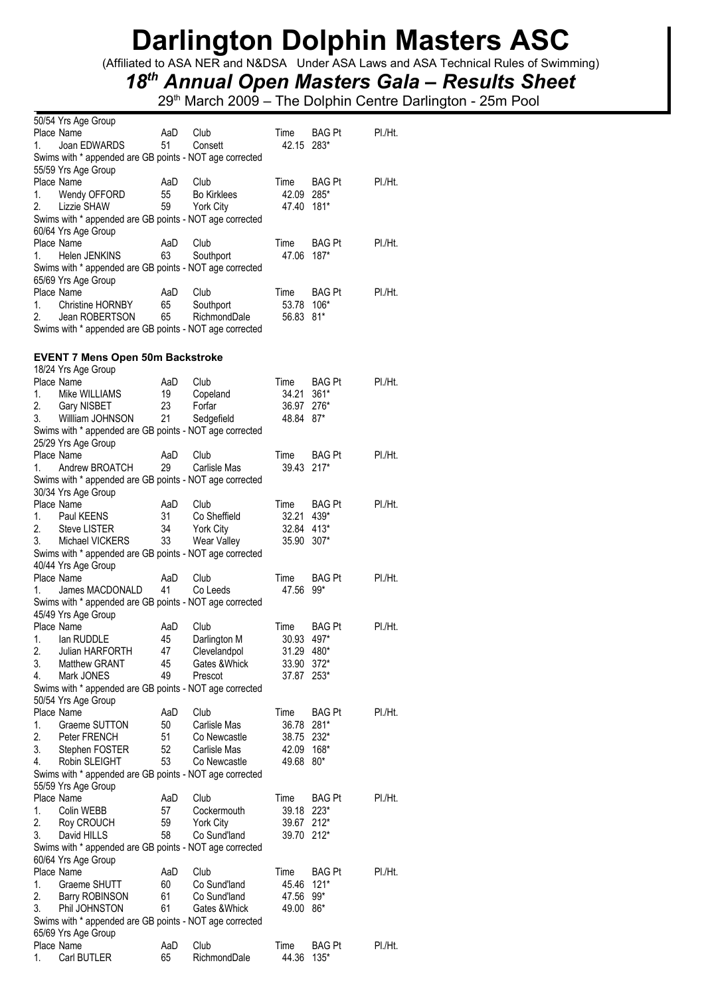(Affiliated to ASA NER and N&DSA Under ASA Laws and ASA Technical Rules of Swimming)

## *18th Annual Open Masters Gala – Results Sheet*

| 50/54 Yrs Age Group                                     |     |                    |            |               |         |
|---------------------------------------------------------|-----|--------------------|------------|---------------|---------|
| Place Name                                              | AaD | Club               | Time       | BAG Pt        | PI./Ht. |
| Joan EDWARDS<br>1.                                      | 51  | Consett            | 42.15 283* |               |         |
| Swims with * appended are GB points - NOT age corrected |     |                    |            |               |         |
| 55/59 Yrs Age Group                                     |     |                    |            |               |         |
| Place Name                                              | AaD | Club               | Time       | BAG Pt        | PI./Ht. |
| 1.<br>Wendy OFFORD                                      | 55  | <b>Bo Kirklees</b> | 42.09      | 285*          |         |
| 2.<br>Lizzie SHAW                                       | 59  | York City          | 47.40      | $181*$        |         |
|                                                         |     |                    |            |               |         |
| Swims with * appended are GB points - NOT age corrected |     |                    |            |               |         |
| 60/64 Yrs Age Group                                     |     |                    |            |               |         |
| Place Name                                              | AaD | Club               | Time       | BAG Pt        | PI./Ht. |
| 1.<br>Helen JENKINS                                     | 63  | Southport          | 47.06      | $187*$        |         |
| Swims with * appended are GB points - NOT age corrected |     |                    |            |               |         |
| 65/69 Yrs Age Group                                     |     |                    |            |               |         |
| Place Name                                              | AaD | Club               | Time       | BAG Pt        | PI./Ht. |
| <b>Christine HORNBY</b><br>1.                           | 65  | Southport          | 53.78      | $106*$        |         |
| 2.<br>Jean ROBERTSON                                    | 65  | RichmondDale       | 56.83      | 81*           |         |
| Swims with * appended are GB points - NOT age corrected |     |                    |            |               |         |
|                                                         |     |                    |            |               |         |
|                                                         |     |                    |            |               |         |
| <b>EVENT 7 Mens Open 50m Backstroke</b>                 |     |                    |            |               |         |
| 18/24 Yrs Age Group                                     |     |                    |            |               |         |
| Place Name                                              | AaD | Club               | Time       | BAG Pt        | PI./Ht. |
| 1.<br>Mike WILLIAMS                                     | 19  | Copeland           | 34.21      | $361*$        |         |
| 2.<br><b>Gary NISBET</b>                                | 23  | Forfar             | 36.97      | 276*          |         |
| 3.<br>Willliam JOHNSON                                  | 21  | Sedgefield         | 48.84      | $87*$         |         |
| Swims with * appended are GB points - NOT age corrected |     |                    |            |               |         |
| 25/29 Yrs Age Group                                     |     |                    |            |               |         |
| Place Name                                              | AaD | Club               | Time       | <b>BAG Pt</b> | PI./Ht. |
|                                                         | 29  |                    |            | $217*$        |         |
| Andrew BROATCH<br>1.                                    |     | Carlisle Mas       | 39.43      |               |         |
| Swims with * appended are GB points - NOT age corrected |     |                    |            |               |         |
| 30/34 Yrs Age Group                                     |     |                    |            |               |         |
| Place Name                                              | AaD | Club               | Time       | BAG Pt        | PI./Ht. |
| Paul KEENS<br>1.                                        | 31  | Co Sheffield       | 32.21      | 439*          |         |
| 2.<br><b>Steve LISTER</b>                               | 34  | York City          | 32.84 413* |               |         |
| 3.<br>Michael VICKERS                                   | 33  | Wear Valley        | 35.90      | $307*$        |         |
| Swims with * appended are GB points - NOT age corrected |     |                    |            |               |         |
| 40/44 Yrs Age Group                                     |     |                    |            |               |         |
| Place Name                                              | AaD | Club               | Time       | BAG Pt        | PI./Ht. |
| 1.<br>James MACDONALD                                   | 41  | Co Leeds           | 47.56      | $99*$         |         |
| Swims with * appended are GB points - NOT age corrected |     |                    |            |               |         |
|                                                         |     |                    |            |               |         |
| 45/49 Yrs Age Group                                     |     |                    |            |               |         |
| Place Name                                              | AaD | Club               | Time       | BAG Pt        | PI./Ht. |
| lan RUDDLE<br>1.                                        | 45  | Darlington M       | 30.93      | 497*          |         |
| 2.<br>Julian HARFORTH                                   | 47  | Clevelandpol       | 31.29 480* |               |         |
| 3.<br><b>Matthew GRANT</b>                              | 45  | Gates & Whick      | 33.90      | $372*$        |         |
| 4.<br>Mark JONES                                        | 49  | Prescot            | 37.87      | $253*$        |         |
| Swims with * appended are GB points - NOT age corrected |     |                    |            |               |         |
| 50/54 Yrs Age Group                                     |     |                    |            |               |         |
| Place Name                                              | AaD | Club               | Time       | BAG Pt        | PI./Ht. |
| 1.<br>Graeme SUTTON                                     | 50  | Carlisle Mas       | 36.78      | 281*          |         |
| 2.<br>Peter FRENCH                                      | 51  | Co Newcastle       | 38.75      | $232*$        |         |
| 3.<br>Stephen FOSTER                                    | 52  | Carlisle Mas       | 42.09      | $168*$        |         |
|                                                         |     |                    |            |               |         |
| Robin SLEIGHT<br>4.                                     | 53  | Co Newcastle       | 49.68      | $80*$         |         |
| Swims with * appended are GB points - NOT age corrected |     |                    |            |               |         |
| 55/59 Yrs Age Group                                     |     |                    |            |               |         |
| Place Name                                              | AaD | Club               | Time       | BAG Pt        | PI./Ht. |
| 1.<br>Colin WEBB                                        | 57  | Cockermouth        | 39.18      | $223*$        |         |
| 2.<br>Roy CROUCH                                        | 59  | York City          | 39.67      | $212*$        |         |
| 3.<br>David HILLS                                       | 58  | Co Sund'land       | 39.70      | $212*$        |         |
| Swims with * appended are GB points - NOT age corrected |     |                    |            |               |         |
| 60/64 Yrs Age Group                                     |     |                    |            |               |         |
| Place Name                                              | AaD | Club               | Time       | <b>BAG Pt</b> | PI./Ht. |
| 1.<br>Graeme SHUTT                                      | 60  | Co Sund'land       | 45.46      | $121*$        |         |
| 2.                                                      |     |                    |            |               |         |
| Barry ROBINSON                                          | 61  | Co Sund'land       | 47.56      | $99*$         |         |
| 3.<br>Phil JOHNSTON                                     | 61  | Gates & Whick      | 49.00      | 86*           |         |
| Swims with * appended are GB points - NOT age corrected |     |                    |            |               |         |
| 65/69 Yrs Age Group                                     |     |                    |            |               |         |
| Place Name                                              | AaD | Club               | Time       | BAG Pt        | PI./Ht. |
| Carl BUTLER<br>1.                                       | 65  | RichmondDale       | 44.36      | $135*$        |         |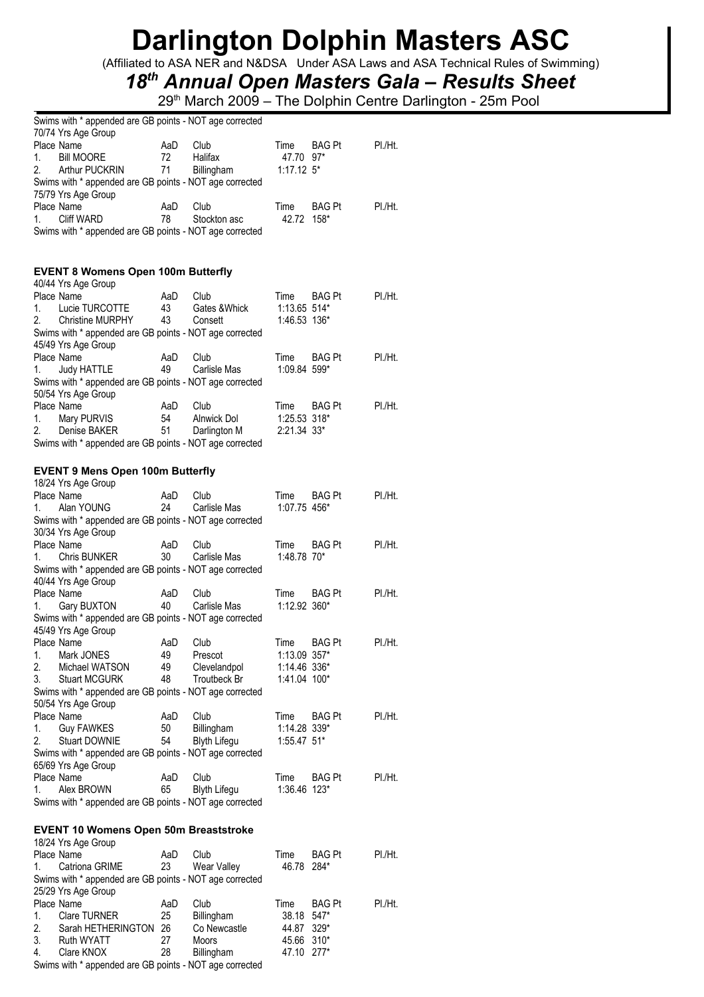(Affiliated to ASA NER and N&DSA Under ASA Laws and ASA Technical Rules of Swimming)

## *18th Annual Open Masters Gala – Results Sheet*

29<sup>th</sup> March 2009 – The Dolphin Centre Darlington - 25m Pool

|          | Swims with * appended are GB points - NOT age corrected                            |           |                     |                |                       |         |
|----------|------------------------------------------------------------------------------------|-----------|---------------------|----------------|-----------------------|---------|
|          | 70/74 Yrs Age Group<br>Place Name                                                  | AaD       | Club                | Time           | BAG Pt                | PI./Ht. |
| 1.       | <b>Bill MOORE</b>                                                                  | 72        | Halifax             | 47.70 97*      |                       |         |
| 2.       | Arthur PUCKRIN                                                                     | 71        | Billingham          | $1:17.12$ 5*   |                       |         |
|          | Swims with * appended are GB points - NOT age corrected                            |           |                     |                |                       |         |
|          | 75/79 Yrs Age Group                                                                |           |                     |                |                       |         |
|          | Place Name                                                                         | AaD       | Club                | Time           | <b>BAG Pt</b>         | PI./Ht. |
| 1.       | Cliff WARD                                                                         | 78        | Stockton asc        | 42.72 158*     |                       |         |
|          | Swims with * appended are GB points - NOT age corrected                            |           |                     |                |                       |         |
|          |                                                                                    |           |                     |                |                       |         |
|          | <b>EVENT 8 Womens Open 100m Butterfly</b><br>40/44 Yrs Age Group                   |           |                     |                |                       |         |
|          | Place Name                                                                         | AaD       | Club                | Time           | <b>BAG Pt</b>         | PI./Ht. |
| 1.<br>2. | Lucie TURCOTTE                                                                     | 43<br>43  | Gates & Whick       | $1:13.65$ 514* |                       |         |
|          | <b>Christine MURPHY</b><br>Swims with * appended are GB points - NOT age corrected |           | Consett             | 1:46.53 136*   |                       |         |
|          | 45/49 Yrs Age Group                                                                |           |                     |                |                       |         |
|          | Place Name                                                                         | AaD       | Club                | Time           | <b>BAG Pt</b>         | PI./Ht. |
| 1.       | <b>Judy HATTLE</b>                                                                 | 49        | Carlisle Mas        | 1:09.84 599*   |                       |         |
|          | Swims with * appended are GB points - NOT age corrected                            |           |                     |                |                       |         |
|          | 50/54 Yrs Age Group                                                                |           |                     |                |                       |         |
|          | Place Name                                                                         | AaD       | Club                | Time           | <b>BAG Pt</b>         | PI./Ht. |
| 1.       | Mary PURVIS                                                                        | 54        | Alnwick Dol         | $1:25.53$ 318* |                       |         |
| 2.       | Denise BAKER                                                                       | 51        | Darlington M        | 2:21.34 33*    |                       |         |
|          | Swims with * appended are GB points - NOT age corrected                            |           |                     |                |                       |         |
|          |                                                                                    |           |                     |                |                       |         |
|          | <b>EVENT 9 Mens Open 100m Butterfly</b><br>18/24 Yrs Age Group                     |           |                     |                |                       |         |
|          | Place Name                                                                         | AaD       | Club                | Time           | <b>BAG Pt</b>         | PI./Ht. |
| 1.       | Alan YOUNG                                                                         | 24        | Carlisle Mas        | 1:07.75 456*   |                       |         |
|          | Swims with * appended are GB points - NOT age corrected                            |           |                     |                |                       |         |
|          | 30/34 Yrs Age Group                                                                |           |                     |                |                       |         |
|          | Place Name                                                                         | AaD       | Club                | Time           | BAG Pt                | PI./Ht. |
| 1.       | <b>Chris BUNKER</b>                                                                | 30        | Carlisle Mas        | 1:48.78 70*    |                       |         |
|          | Swims with * appended are GB points - NOT age corrected                            |           |                     |                |                       |         |
|          | 40/44 Yrs Age Group<br>Place Name                                                  | AaD       | Club                | Time           | <b>BAG Pt</b>         | PI./Ht. |
| 1.       | <b>Gary BUXTON</b>                                                                 | 40        | Carlisle Mas        | 1:12.92 360*   |                       |         |
|          | Swims with * appended are GB points - NOT age corrected                            |           |                     |                |                       |         |
|          | 45/49 Yrs Age Group                                                                |           |                     |                |                       |         |
|          | Place Name                                                                         | AaD       | Club                | Time           | <b>BAG Pt</b>         | PI./Ht. |
| 1.       | Mark JONES                                                                         | 49        | Prescot             | $1:13.09$ 357* |                       |         |
| 2.       | Michael WATSON                                                                     | 49        | Clevelandpol        | 1:14.46 336*   |                       |         |
| 3.       | <b>Stuart MCGURK</b>                                                               | 48        | Troutbeck Br        | 1:41.04 100*   |                       |         |
|          | Swims with * appended are GB points - NOT age corrected<br>50/54 Yrs Age Group     |           |                     |                |                       |         |
|          | Place Name                                                                         | AaD       | Club                | Time           | <b>BAG Pt</b>         | PL/Hit. |
| 1.       | <b>Guy FAWKES</b>                                                                  | 50        | Billingham          | 1:14.28 339*   |                       |         |
| 2.       | <b>Stuart DOWNIE</b>                                                               | 54        | <b>Blyth Lifegu</b> | 1:55.47 51*    |                       |         |
|          | Swims with * appended are GB points - NOT age corrected                            |           |                     |                |                       |         |
|          | 65/69 Yrs Age Group                                                                |           |                     |                |                       |         |
|          | Place Name                                                                         | AaD       | Club                | Time           | <b>BAG Pt</b>         | PI./Ht. |
| 1.       | Alex BROWN                                                                         | 65        | <b>Blyth Lifegu</b> | 1:36.46 123*   |                       |         |
|          | Swims with * appended are GB points - NOT age corrected                            |           |                     |                |                       |         |
|          |                                                                                    |           |                     |                |                       |         |
|          | <b>EVENT 10 Womens Open 50m Breaststroke</b>                                       |           |                     |                |                       |         |
|          | 18/24 Yrs Age Group<br>Place Name                                                  |           |                     |                |                       |         |
| 1.       | Catriona GRIME                                                                     | AaD<br>23 | Club<br>Wear Valley | Time<br>46.78  | <b>BAG Pt</b><br>284* | PI./Ht. |
|          | Swims with * appended are GB points - NOT age corrected                            |           |                     |                |                       |         |
|          | 25/29 Yrs Age Group                                                                |           |                     |                |                       |         |
|          | Place Name                                                                         | AaD       | Club                | Time           | BAG Pt                | PI./Ht. |
| 1.       | Clare TURNER                                                                       | 25        | Billingham          | 38.18          | 547*                  |         |
| 2.       | Sarah HETHERINGTON                                                                 | 26        | Co Newcastle        | 44.87          | $329*$                |         |
| 3.       | Ruth WYATT                                                                         | 27        | Moors               | 45.66 310*     |                       |         |
| 4.       | Clare KNOX                                                                         | 28        | Billingham          | 47.10 277*     |                       |         |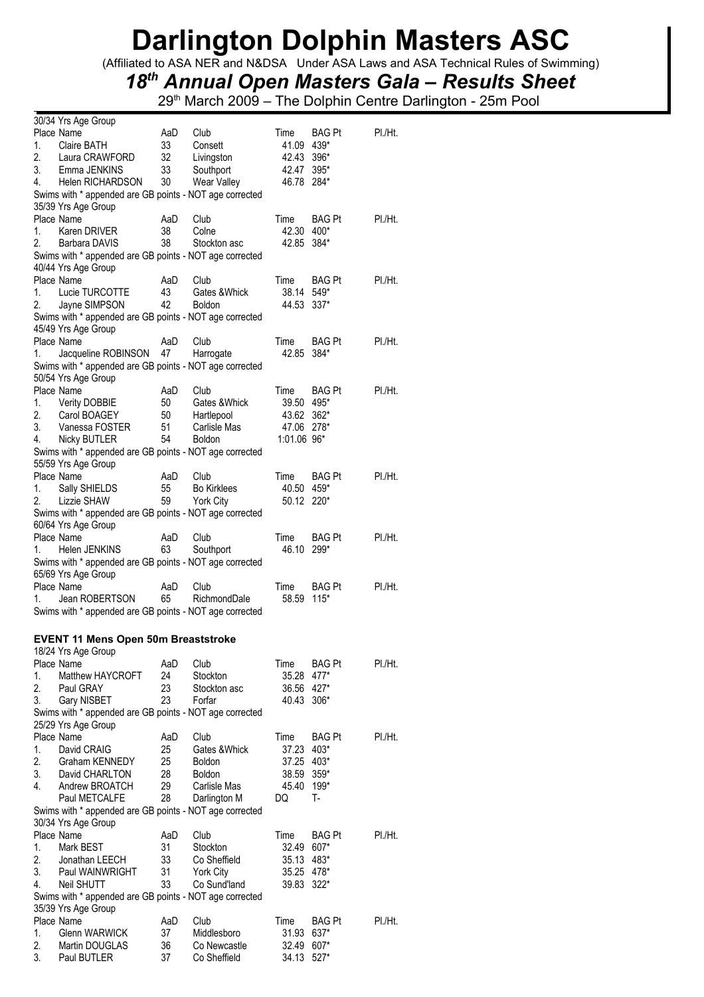(Affiliated to ASA NER and N&DSA Under ASA Laws and ASA Technical Rules of Swimming)

## *18th Annual Open Masters Gala – Results Sheet*

|          | 30/34 Yrs Age Group                                                            |           |                              |                |                |         |
|----------|--------------------------------------------------------------------------------|-----------|------------------------------|----------------|----------------|---------|
|          | Place Name                                                                     | AaD       | Club                         | Time           | <b>BAG Pt</b>  | PI./Ht. |
| 1.       | Claire BATH                                                                    | 33        | Consett                      | 41.09          | 439*           |         |
| 2.       | Laura CRAWFORD                                                                 | 32        | Livingston                   | 42.43          | 396*           |         |
| 3.       | Emma JENKINS                                                                   | 33        | Southport                    | 42.47          | 395*           |         |
| 4.       | <b>Helen RICHARDSON</b>                                                        | 30        | Wear Valley                  | 46.78 284*     |                |         |
|          | Swims with * appended are GB points - NOT age corrected                        |           |                              |                |                |         |
|          | 35/39 Yrs Age Group                                                            |           |                              |                |                |         |
|          | Place Name                                                                     | AaD       | Club                         | Time           | <b>BAG Pt</b>  | PI./Ht. |
| 1.       | Karen DRIVER                                                                   | 38        | Colne                        | 42.30          | 400*           |         |
| 2.       | Barbara DAVIS                                                                  | 38        | Stockton asc                 | 42.85          | 384*           |         |
|          | Swims with * appended are GB points - NOT age corrected                        |           |                              |                |                |         |
|          | 40/44 Yrs Age Group                                                            |           |                              |                |                |         |
|          | Place Name                                                                     | AaD       | Club                         | Time           | <b>BAG Pt</b>  | PI./Ht. |
| 1.       | Lucie TURCOTTE                                                                 | 43        | Gates & Whick                | 38.14          | $549*$         |         |
| 2.       | Jayne SIMPSON                                                                  | 42        | <b>Boldon</b>                | 44.53          | $337*$         |         |
|          | Swims with * appended are GB points - NOT age corrected                        |           |                              |                |                |         |
|          | 45/49 Yrs Age Group                                                            |           |                              |                |                |         |
|          | Place Name                                                                     | AaD       | Club                         | Time           | <b>BAG Pt</b>  | PI./Ht. |
| 1.       | Jacqueline ROBINSON                                                            | 47        | Harrogate                    | 42.85          | 384*           |         |
|          | Swims with * appended are GB points - NOT age corrected                        |           |                              |                |                |         |
|          | 50/54 Yrs Age Group                                                            |           |                              |                |                |         |
|          | Place Name                                                                     | AaD       | Club                         | Time           | <b>BAG Pt</b>  | PI./Ht. |
| 1.       | <b>Verity DOBBIE</b>                                                           | 50        | Gates & Whick                | 39.50          | 495*           |         |
| 2.       | Carol BOAGEY                                                                   | 50        | Hartlepool                   | 43.62          | $362*$         |         |
| 3.       | Vanessa FOSTER                                                                 | 51        | Carlisle Mas                 | 47.06 278*     |                |         |
| 4.       | <b>Nicky BUTLER</b>                                                            | 54        | <b>Boldon</b>                | 1:01.06 96*    |                |         |
|          | Swims with * appended are GB points - NOT age corrected                        |           |                              |                |                |         |
|          | 55/59 Yrs Age Group                                                            |           |                              |                |                |         |
|          | Place Name                                                                     | AaD       | Club                         | Time           | <b>BAG Pt</b>  | PI./Ht. |
| 1.       | Sally SHIELDS                                                                  | 55        | <b>Bo Kirklees</b>           | 40.50          | 459*           |         |
| 2.       | Lizzie SHAW                                                                    | 59        | <b>York City</b>             | 50.12 220*     |                |         |
|          | Swims with * appended are GB points - NOT age corrected                        |           |                              |                |                |         |
|          | 60/64 Yrs Age Group                                                            |           |                              |                |                |         |
|          | Place Name                                                                     | AaD<br>63 | Club                         | Time           | <b>BAG Pt</b>  | PI./Ht. |
| 1.       | Helen JENKINS                                                                  |           | Southport                    | 46.10          | 299*           |         |
|          | Swims with * appended are GB points - NOT age corrected<br>65/69 Yrs Age Group |           |                              |                |                |         |
|          |                                                                                |           |                              |                |                |         |
|          |                                                                                |           |                              |                |                |         |
|          | Place Name                                                                     | AaD       | Club                         | Time           | <b>BAG Pt</b>  | PI./Ht. |
| 1.       | Jean ROBERTSON                                                                 | 65        | RichmondDale                 | 58.59          | 115*           |         |
|          | Swims with * appended are GB points - NOT age corrected                        |           |                              |                |                |         |
|          |                                                                                |           |                              |                |                |         |
|          | <b>EVENT 11 Mens Open 50m Breaststroke</b>                                     |           |                              |                |                |         |
|          | 18/24 Yrs Age Group                                                            |           |                              |                |                |         |
|          | Place Name                                                                     | AaD       | Club                         | Time           | BAG Pt         | PI./Ht. |
| 1.       | Matthew HAYCROFT                                                               | 24        | Stockton                     | 35.28          | 477*           |         |
| 2.       | Paul GRAY                                                                      | 23        | Stockton asc                 | 36.56          | 427*           |         |
| 3.       | Gary NISBET                                                                    | 23        | Forfar                       | 40.43          | $306*$         |         |
|          | Swims with * appended are GB points - NOT age corrected                        |           |                              |                |                |         |
|          | 25/29 Yrs Age Group                                                            |           |                              |                |                |         |
|          | Place Name                                                                     | AaD       | Club                         | Time           | <b>BAG Pt</b>  | PI./Ht. |
| 1.       | David CRAIG                                                                    | 25        | Gates & Whick                | 37.23          | 403*           |         |
| 2.       | Graham KENNEDY                                                                 | 25        | Boldon                       | 37.25          | 403*           |         |
| 3.       | David CHARLTON                                                                 | 28        | <b>Boldon</b>                | 38.59          | 359*           |         |
| 4.       | Andrew BROATCH                                                                 | 29        | Carlisle Mas                 | 45.40          | 199*           |         |
|          | Paul METCALFE                                                                  | 28        | Darlington M                 | DQ             | T-             |         |
|          | Swims with * appended are GB points - NOT age corrected                        |           |                              |                |                |         |
|          | 30/34 Yrs Age Group                                                            |           |                              |                |                |         |
|          | Place Name                                                                     | AaD       | Club                         | Time           | BAG Pt         | PI./Ht. |
| 1.       | Mark BEST                                                                      | 31        | Stockton                     | 32.49          | 607*           |         |
| 2.       | Jonathan LEECH                                                                 | 33        | Co Sheffield                 | 35.13          | 483*           |         |
| 3.       | Paul WAINWRIGHT                                                                | 31        | <b>York City</b>             | 35.25          | 478*           |         |
| 4.       | Neil SHUTT                                                                     | 33        | Co Sund'land                 | 39.83 322*     |                |         |
|          | Swims with * appended are GB points - NOT age corrected                        |           |                              |                |                |         |
|          | 35/39 Yrs Age Group                                                            |           |                              |                |                |         |
|          | Place Name                                                                     | AaD       | Club                         | Time           | BAG Pt         | PI./Ht. |
| 1.       | <b>Glenn WARWICK</b>                                                           | 37        | Middlesboro                  | 31.93          | 637*           |         |
| 2.<br>3. | Martin DOUGLAS<br>Paul BUTLER                                                  | 36<br>37  | Co Newcastle<br>Co Sheffield | 32.49<br>34.13 | 607*<br>$527*$ |         |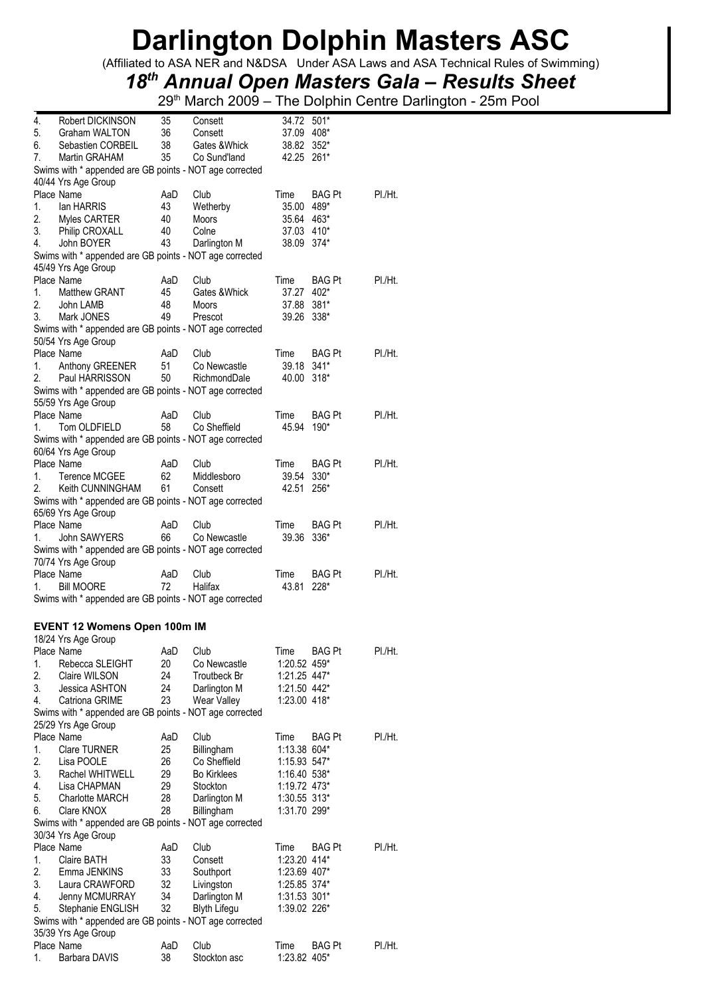(Affiliated to ASA NER and N&DSA Under ASA Laws and ASA Technical Rules of Swimming)

## *18th Annual Open Masters Gala – Results Sheet*

| 4. | Robert DICKINSON                                        | 35        | Consett              | 34.72 501*           |               |         |
|----|---------------------------------------------------------|-----------|----------------------|----------------------|---------------|---------|
| 5. | Graham WALTON                                           | 36        | Consett              | 37.09 408*           |               |         |
| 6. | Sebastien CORBEIL                                       | 38        | Gates & Whick        | 38.82 352*           |               |         |
| 7. | Martin GRAHAM                                           | 35        | Co Sund'land         | 42.25 261*           |               |         |
|    | Swims with * appended are GB points - NOT age corrected |           |                      |                      |               |         |
|    | 40/44 Yrs Age Group                                     |           |                      |                      |               |         |
|    | Place Name                                              | AaD       | Club                 | Time                 | <b>BAG Pt</b> | PI./Ht. |
| 1. | lan HARRIS                                              | 43        | Wetherby             | 35.00 489*           |               |         |
| 2. | Myles CARTER                                            | 40        | Moors                | 35.64 463*           |               |         |
| 3. | Philip CROXALL                                          | 40        | Colne                | 37.03 410*           |               |         |
| 4. | John BOYER                                              | 43        | Darlington M         | 38.09 374*           |               |         |
|    | Swims with * appended are GB points - NOT age corrected |           |                      |                      |               |         |
|    |                                                         |           |                      |                      |               |         |
|    | 45/49 Yrs Age Group<br>Place Name                       |           | Club                 |                      |               | PI./Ht. |
| 1. | Matthew GRANT                                           | AaD<br>45 | Gates & Whick        | Time<br>37.27 402*   | <b>BAG Pt</b> |         |
| 2. |                                                         | 48        |                      | 37.88 381*           |               |         |
|    | John LAMB                                               |           | Moors                |                      |               |         |
| 3. | Mark JONES                                              | 49        | Prescot              | 39.26 338*           |               |         |
|    | Swims with * appended are GB points - NOT age corrected |           |                      |                      |               |         |
|    | 50/54 Yrs Age Group                                     |           |                      |                      |               |         |
|    | Place Name                                              | AaD       | Club                 | Time                 | BAG Pt        | PI./Ht. |
| 1. | Anthony GREENER                                         | 51        | Co Newcastle         | 39.18 341*           |               |         |
| 2. | Paul HARRISSON                                          | 50        | RichmondDale         | 40.00 318*           |               |         |
|    | Swims with * appended are GB points - NOT age corrected |           |                      |                      |               |         |
|    | 55/59 Yrs Age Group                                     |           |                      |                      |               |         |
|    | Place Name                                              | AaD       | Club                 | Time                 | <b>BAG Pt</b> | PI./Ht. |
| 1. | Tom OLDFIELD                                            | 58        | Co Sheffield         | 45.94                | 190*          |         |
|    | Swims with * appended are GB points - NOT age corrected |           |                      |                      |               |         |
|    | 60/64 Yrs Age Group                                     |           |                      |                      |               |         |
|    | Place Name                                              | AaD       | Club                 | Time                 | <b>BAG Pt</b> | PI./Ht. |
| 1. | Terence MCGEE                                           | 62        | Middlesboro          | 39.54 330*           |               |         |
| 2. | Keith CUNNINGHAM                                        | 61        | Consett              | 42.51                | 256*          |         |
|    | Swims with * appended are GB points - NOT age corrected |           |                      |                      |               |         |
|    | 65/69 Yrs Age Group                                     |           |                      |                      |               |         |
|    | Place Name                                              | AaD       | Club                 | Time                 | <b>BAG Pt</b> | PI./Ht. |
| 1. | John SAWYERS                                            | 66        | Co Newcastle         | 39.36                | 336*          |         |
|    | Swims with * appended are GB points - NOT age corrected |           |                      |                      |               |         |
|    | 70/74 Yrs Age Group                                     |           |                      |                      |               |         |
|    | Place Name                                              | AaD       | Club                 | Time                 | <b>BAG Pt</b> | PI./Ht. |
| 1. | <b>Bill MOORE</b>                                       | 72        | Halifax              | 43.81                | 228*          |         |
|    | Swims with * appended are GB points - NOT age corrected |           |                      |                      |               |         |
|    |                                                         |           |                      |                      |               |         |
|    |                                                         |           |                      |                      |               |         |
|    | <b>EVENT 12 Womens Open 100m IM</b>                     |           |                      |                      |               |         |
|    | 18/24 Yrs Age Group                                     |           |                      |                      |               |         |
|    | Place Name                                              | AaD       | Club                 | Time                 | BAG Pt        | PI./Ht. |
| 1. | Rebecca SLEIGHT                                         | 20        | Co Newcastle         | 1:20.52 459*         |               |         |
| 2. | Claire WILSON                                           | 24        | Troutbeck Br         | 1:21.25 447*         |               |         |
| 3. | Jessica ASHTON                                          | 24        | Darlington M         | 1:21.50 442*         |               |         |
| 4. | Catriona GRIME                                          | 23        | Wear Valley          | 1:23.00 418*         |               |         |
|    | Swims with * appended are GB points - NOT age corrected |           |                      |                      |               |         |
|    | 25/29 Yrs Age Group                                     |           |                      |                      |               |         |
|    | Place Name                                              | AaD       | Club                 | Time                 | BAG Pt        | PI./Ht. |
| 1. | <b>Clare TURNER</b>                                     | 25        | Billingham           | 1:13.38 604*         |               |         |
| 2. | Lisa POOLE                                              | 26        | Co Sheffield         | 1:15.93 547*         |               |         |
| 3. | Rachel WHITWELL                                         | 29        | <b>Bo Kirklees</b>   | 1:16.40 538*         |               |         |
| 4. | Lisa CHAPMAN                                            | 29        | Stockton             | 1:19.72 473*         |               |         |
| 5. | <b>Charlotte MARCH</b>                                  | 28        | Darlington M         | 1:30.55 313*         |               |         |
| 6. | Clare KNOX                                              | 28        | Billingham           | 1:31.70 299*         |               |         |
|    | Swims with * appended are GB points - NOT age corrected |           |                      |                      |               |         |
|    | 30/34 Yrs Age Group                                     |           |                      |                      |               |         |
|    | Place Name                                              | AaD       | Club                 | Time                 | BAG Pt        | PI./Ht. |
| 1. | Claire BATH                                             | 33        | Consett              | 1:23.20 414*         |               |         |
| 2. | Emma JENKINS                                            | 33        | Southport            | 1:23.69 407*         |               |         |
| 3. | Laura CRAWFORD                                          | 32        | Livingston           | 1:25.85 374*         |               |         |
| 4. | Jenny MCMURRAY                                          | 34        | Darlington M         | 1:31.53 301*         |               |         |
| 5. |                                                         | 32        | <b>Blyth Lifegu</b>  | 1:39.02 226*         |               |         |
|    | Stephanie ENGLISH                                       |           |                      |                      |               |         |
|    | Swims with * appended are GB points - NOT age corrected |           |                      |                      |               |         |
|    | 35/39 Yrs Age Group                                     |           |                      |                      |               |         |
| 1. | Place Name<br>Barbara DAVIS                             | AaD<br>38 | Club<br>Stockton asc | Time<br>1:23.82 405* | BAG Pt        | PI./Ht. |
|    |                                                         |           |                      |                      |               |         |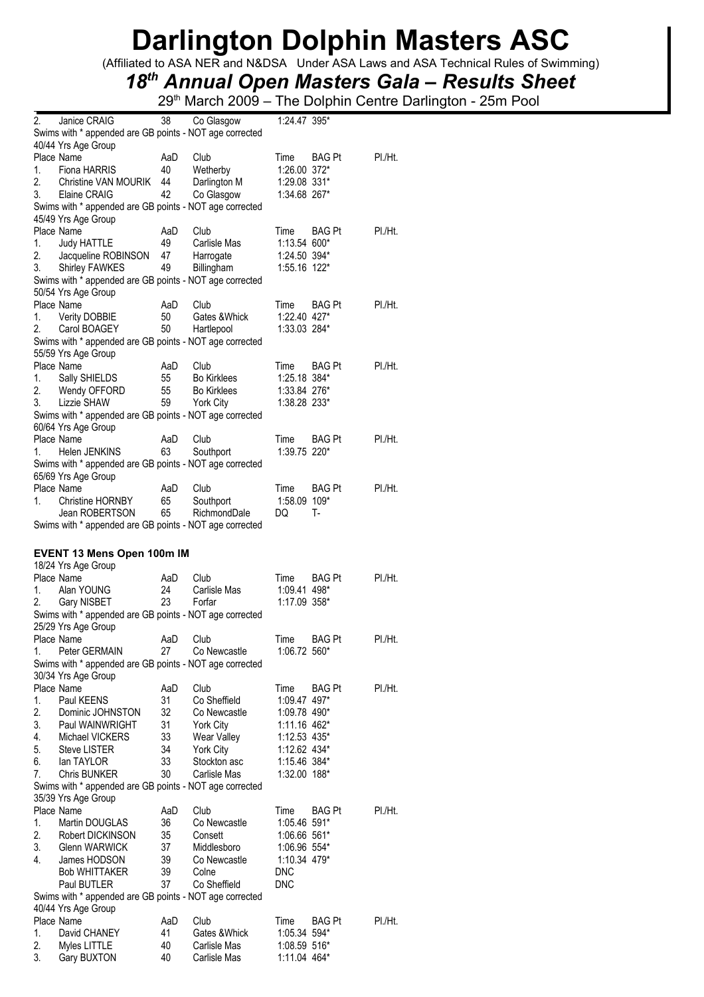(Affiliated to ASA NER and N&DSA Under ASA Laws and ASA Technical Rules of Swimming)

## *18th Annual Open Masters Gala – Results Sheet*

| 2.       | Janice CRAIG                                            | 38       | Co Glasgow         | 1:24.47 395*                 |               |         |
|----------|---------------------------------------------------------|----------|--------------------|------------------------------|---------------|---------|
|          | Swims with * appended are GB points - NOT age corrected |          |                    |                              |               |         |
|          | 40/44 Yrs Age Group                                     |          |                    |                              |               |         |
|          | Place Name                                              | AaD      | Club               | Time                         | <b>BAG Pt</b> | PI./Ht. |
| 1.       | Fiona HARRIS                                            | 40       | Wetherby           | 1:26.00 372*                 |               |         |
| 2.       | Christine VAN MOURIK                                    | 44       | Darlington M       | 1:29.08 331*                 |               |         |
| 3.       | Elaine CRAIG                                            | 42       | Co Glasgow         | 1:34.68 267*                 |               |         |
|          | Swims with * appended are GB points - NOT age corrected |          |                    |                              |               |         |
|          | 45/49 Yrs Age Group                                     |          |                    |                              |               |         |
|          | Place Name                                              | AaD      | Club               | Time                         | BAG Pt        | PI./Ht. |
| 1.       | Judy HATTLE                                             | 49       | Carlisle Mas       | 1:13.54 600*                 |               |         |
| 2.       | Jacqueline ROBINSON                                     | 47       | Harrogate          | 1:24.50 394*                 |               |         |
| 3.       | Shirley FAWKES                                          | 49       | Billingham         | 1:55.16 122*                 |               |         |
|          | Swims with * appended are GB points - NOT age corrected |          |                    |                              |               |         |
|          | 50/54 Yrs Age Group                                     |          |                    |                              |               |         |
|          | Place Name                                              | AaD      | Club               | Time                         | <b>BAG Pt</b> | PI./Ht. |
| 1.       | Verity DOBBIE                                           | 50       | Gates & Whick      | 1:22.40 427*                 |               |         |
| 2.       | Carol BOAGEY                                            | 50       | Hartlepool         | 1:33.03 284*                 |               |         |
|          | Swims with * appended are GB points - NOT age corrected |          |                    |                              |               |         |
|          | 55/59 Yrs Age Group                                     |          |                    |                              |               |         |
|          | Place Name                                              | AaD      | Club               | Time                         | BAG Pt        | PI./Ht. |
| 1.       | Sally SHIELDS                                           | 55       | <b>Bo Kirklees</b> | 1:25.18 384*                 |               |         |
| 2.       | Wendy OFFORD                                            | 55       | <b>Bo Kirklees</b> | 1:33.84 276*                 |               |         |
| 3.       | Lizzie SHAW                                             | 59       | York City          | 1:38.28 233*                 |               |         |
|          | Swims with * appended are GB points - NOT age corrected |          |                    |                              |               |         |
|          | 60/64 Yrs Age Group                                     |          |                    |                              |               |         |
|          | Place Name                                              | AaD      | Club               | Time                         | BAG Pt        | PI./Ht. |
| 1.       | Helen JENKINS                                           | 63       | Southport          | 1:39.75 220*                 |               |         |
|          | Swims with * appended are GB points - NOT age corrected |          |                    |                              |               |         |
|          | 65/69 Yrs Age Group                                     |          |                    |                              |               |         |
|          | Place Name                                              | AaD      | Club               | Time                         | BAG Pt        | PI./Ht. |
| 1.       | Christine HORNBY                                        | 65       | Southport          | 1:58.09 109*                 |               |         |
|          | Jean ROBERTSON                                          | 65       | RichmondDale       | DQ                           | Т-            |         |
|          | Swims with * appended are GB points - NOT age corrected |          |                    |                              |               |         |
|          |                                                         |          |                    |                              |               |         |
|          |                                                         |          |                    |                              |               |         |
|          | EVENT 13 Mens Open 100m IM                              |          |                    |                              |               |         |
|          | 18/24 Yrs Age Group                                     |          |                    |                              |               |         |
|          | Place Name                                              | AaD      | Club               | Time                         | BAG Pt        | PI./Ht. |
| 1.       | Alan YOUNG                                              | 24       | Carlisle Mas       | 1:09.41 498*                 |               |         |
| 2.       | Gary NISBET                                             | 23       | Forfar             | 1:17.09 358*                 |               |         |
|          | Swims with * appended are GB points - NOT age corrected |          |                    |                              |               |         |
|          | 25/29 Yrs Age Group                                     |          |                    |                              |               |         |
|          | Place Name                                              | AaD      | Club               | Time                         | <b>BAG Pt</b> | PI./Ht. |
| 1.       | Peter GERMAIN                                           | 27       | Co Newcastle       | 1:06.72 560*                 |               |         |
|          | Swims with * appended are GB points - NOT age corrected |          |                    |                              |               |         |
|          | 30/34 Yrs Age Group                                     |          |                    |                              |               |         |
|          | Place Name                                              | AaD      | Club               | Time                         | <b>BAG Pt</b> | PI./Ht. |
| 1.       | Paul KEENS                                              | 31       | Co Sheffield       | 1:09.47 497*                 |               |         |
| 2.       | Dominic JOHNSTON                                        | 32       | Co Newcastle       | 1:09.78 490*                 |               |         |
| 3.       | Paul WAINWRIGHT                                         | 31       | York City          | 1:11.16 462*                 |               |         |
| 4.       | Michael VICKERS                                         | 33       | Wear Valley        | 1:12.53 435*                 |               |         |
| 5.       | <b>Steve LISTER</b>                                     | 34       | York City          | 1:12.62 434*                 |               |         |
| 6.       | lan TAYLOR                                              | 33       | Stockton asc       | 1:15.46 384*                 |               |         |
| 7.       | <b>Chris BUNKER</b>                                     | 30       | Carlisle Mas       | 1:32.00 188*                 |               |         |
|          | Swims with * appended are GB points - NOT age corrected |          |                    |                              |               |         |
|          | 35/39 Yrs Age Group                                     |          |                    |                              |               |         |
|          | Place Name                                              | AaD      | Club               | Time                         | <b>BAG Pt</b> | PI./Ht. |
| 1.       | Martin DOUGLAS                                          | 36       | Co Newcastle       | 1:05.46 591*                 |               |         |
| 2.       | Robert DICKINSON                                        | 35       | Consett            | 1:06.66 561*                 |               |         |
| 3.       | Glenn WARWICK                                           | 37       | Middlesboro        | 1:06.96 554*                 |               |         |
| 4.       | James HODSON                                            | 39       | Co Newcastle       | 1:10.34 479*                 |               |         |
|          | Bob WHITTAKER                                           | 39       | Colne              | <b>DNC</b>                   |               |         |
|          | Paul BUTLER                                             | 37       | Co Sheffield       | <b>DNC</b>                   |               |         |
|          | Swims with * appended are GB points - NOT age corrected |          |                    |                              |               |         |
|          | 40/44 Yrs Age Group                                     |          |                    |                              |               |         |
|          | Place Name                                              | AaD      | Club               | Time                         | BAG Pt        | PI./Ht. |
| 1.       | David CHANEY                                            | 41       | Gates & Whick      | 1:05.34 594*                 |               |         |
| 2.<br>3. | Myles LITTLE                                            | 40<br>40 | Carlisle Mas       | 1:08.59 516*<br>1:11.04 464* |               |         |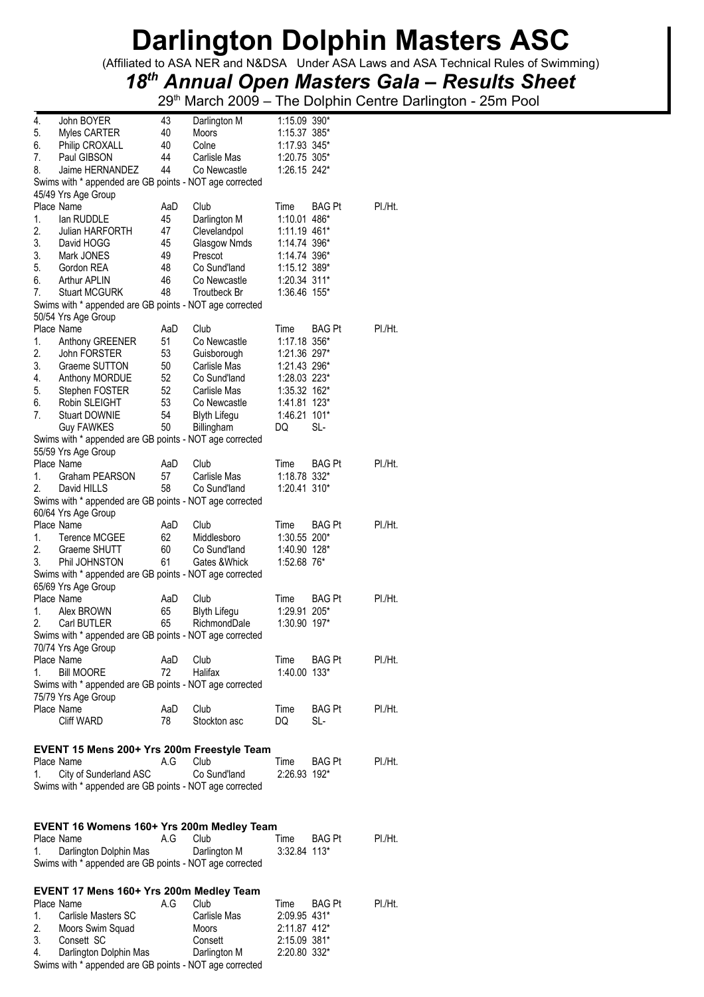(Affiliated to ASA NER and N&DSA Under ASA Laws and ASA Technical Rules of Swimming)

## *18th Annual Open Masters Gala – Results Sheet*

29<sup>th</sup> March 2009 – The Dolphin Centre Darlington - 25m Pool

| 4.       | John BOYER                                              | 43        | Darlington M            | 1:15.09 390*                 |               |         |
|----------|---------------------------------------------------------|-----------|-------------------------|------------------------------|---------------|---------|
| 5.       | Myles CARTER                                            | 40        | Moors                   | 1:15.37 385*                 |               |         |
| 6.       | Philip CROXALL                                          | 40        | Colne                   | 1:17.93 345*                 |               |         |
| 7.       | Paul GIBSON                                             | 44        | Carlisle Mas            | 1:20.75 305*                 |               |         |
| 8.       | Jaime HERNANDEZ                                         | 44        | Co Newcastle            | 1:26.15 242*                 |               |         |
|          | Swims with * appended are GB points - NOT age corrected |           |                         |                              |               |         |
|          | 45/49 Yrs Age Group<br>Place Name                       | AaD       | Club                    | Time                         | <b>BAG Pt</b> | PI./Ht. |
| 1.       | lan RUDDLE                                              | 45        | Darlington M            | 1:10.01 486*                 |               |         |
| 2.       | Julian HARFORTH                                         | 47        | Clevelandpol            | 1:11.19 461*                 |               |         |
| 3.       | David HOGG                                              | 45        | Glasgow Nmds            | 1:14.74 396*                 |               |         |
| 3.       | Mark JONES                                              | 49        | Prescot                 | 1:14.74 396*                 |               |         |
| 5.       | Gordon REA                                              | 48        | Co Sund'land            | 1:15.12 389*                 |               |         |
| 6.       | Arthur APLIN                                            | 46        | Co Newcastle            | 1:20.34 311*                 |               |         |
| 7.       | <b>Stuart MCGURK</b>                                    | 48        | Troutbeck Br            | 1:36.46 155*                 |               |         |
|          | Swims with * appended are GB points - NOT age corrected |           |                         |                              |               |         |
|          | 50/54 Yrs Age Group                                     |           |                         |                              |               |         |
|          | Place Name                                              | AaD       | Club                    | Time                         | <b>BAG Pt</b> | PI./Ht. |
| 1.       | Anthony GREENER                                         | 51        | Co Newcastle            | 1:17.18 356*                 |               |         |
| 2.       | <b>John FORSTER</b>                                     | 53        | Guisborough             | 1:21.36 297*                 |               |         |
| 3.       | Graeme SUTTON                                           | 50        | Carlisle Mas            | 1:21.43 296*                 |               |         |
| 4.       | Anthony MORDUE                                          | 52        | Co Sund'land            | 1:28.03 223*                 |               |         |
| 5.       | Stephen FOSTER                                          | 52        | Carlisle Mas            | 1:35.32 162*                 |               |         |
| 6.       | Robin SLEIGHT                                           | 53        | Co Newcastle            | 1:41.81 123*                 |               |         |
| 7.       | <b>Stuart DOWNIE</b>                                    | 54        | <b>Blyth Lifegu</b>     | 1:46.21 101*                 |               |         |
|          | <b>Guy FAWKES</b>                                       | 50        | Billingham              | DQ                           | SL-           |         |
|          | Swims with * appended are GB points - NOT age corrected |           |                         |                              |               |         |
|          | 55/59 Yrs Age Group                                     |           |                         |                              |               |         |
| 1.       | Place Name<br>Graham PEARSON                            | AaD<br>57 | Club<br>Carlisle Mas    | Time<br>1:18.78 332*         | <b>BAG Pt</b> | PI./Ht. |
| 2.       | David HILLS                                             | 58        | Co Sund'land            | 1:20.41 310*                 |               |         |
|          | Swims with * appended are GB points - NOT age corrected |           |                         |                              |               |         |
|          | 60/64 Yrs Age Group                                     |           |                         |                              |               |         |
|          | Place Name                                              | AaD       | Club                    | Time                         | BAG Pt        | PI./Ht. |
| 1.       | <b>Terence MCGEE</b>                                    | 62        | Middlesboro             | 1:30.55 200*                 |               |         |
| 2.       | Graeme SHUTT                                            | 60        | Co Sund'land            | 1:40.90 128*                 |               |         |
| 3.       | Phil JOHNSTON                                           | 61        | Gates & Whick           | 1:52.68 76*                  |               |         |
|          | Swims with * appended are GB points - NOT age corrected |           |                         |                              |               |         |
|          | 65/69 Yrs Age Group                                     |           |                         |                              |               |         |
|          | Place Name                                              | AaD       | Club                    | Time                         | <b>BAG Pt</b> | PI./Ht. |
| 1.       | Alex BROWN                                              | 65        | <b>Blyth Lifegu</b>     | 1:29.91 205*                 |               |         |
| 2.       | Carl BUTLER                                             | 65        | RichmondDale            | 1:30.90 197*                 |               |         |
|          | Swims with * appended are GB points - NOT age corrected |           |                         |                              |               |         |
|          | 70/74 Yrs Age Group                                     |           |                         |                              |               |         |
|          | Place Name                                              | AaD       | Club                    | Time                         | <b>BAG Pt</b> | PI./Ht. |
| 1.       | <b>Bill MOORE</b>                                       | 72        | Halifax                 | 1:40.00 133*                 |               |         |
|          | Swims with * appended are GB points - NOT age corrected |           |                         |                              |               |         |
|          | 75/79 Yrs Age Group                                     |           |                         |                              |               |         |
|          | Place Name                                              | AaD       | Club                    | Time                         | <b>BAG Pt</b> | PI./Ht. |
|          | Cliff WARD                                              | 78        | Stockton asc            | DQ                           | SL-           |         |
|          |                                                         |           |                         |                              |               |         |
|          | EVENT 15 Mens 200+ Yrs 200m Freestyle Team              |           |                         |                              |               |         |
|          | Place Name                                              | A.G       | Club                    | Time                         | <b>BAG Pt</b> | PI./Ht. |
| 1.       | City of Sunderland ASC                                  |           | Co Sund'land            | 2:26.93 192*                 |               |         |
|          | Swims with * appended are GB points - NOT age corrected |           |                         |                              |               |         |
|          |                                                         |           |                         |                              |               |         |
|          |                                                         |           |                         |                              |               |         |
|          | EVENT 16 Womens 160+ Yrs 200m Medley Team               |           |                         |                              |               |         |
|          | Place Name                                              | A.G       | Club                    | Time                         | <b>BAG Pt</b> | PI./Ht. |
| 1.       |                                                         |           | Darlington M            | $3:32.84$ 113*               |               |         |
|          | Darlington Dolphin Mas                                  |           |                         |                              |               |         |
|          | Swims with * appended are GB points - NOT age corrected |           |                         |                              |               |         |
|          |                                                         |           |                         |                              |               |         |
|          | EVENT 17 Mens 160+ Yrs 200m Medley Team                 |           |                         |                              |               |         |
|          | Place Name                                              | A.G       | Club                    | Time                         | <b>BAG Pt</b> | PI./Ht. |
| 1.       | Carlisle Masters SC                                     |           | Carlisle Mas            | 2:09.95 431*                 |               |         |
| 2.       | Moors Swim Squad                                        |           | Moors                   | 2:11.87 412*                 |               |         |
| 3.<br>4. | Consett SC<br>Darlington Dolphin Mas                    |           | Consett<br>Darlington M | 2:15.09 381*<br>2:20.80 332* |               |         |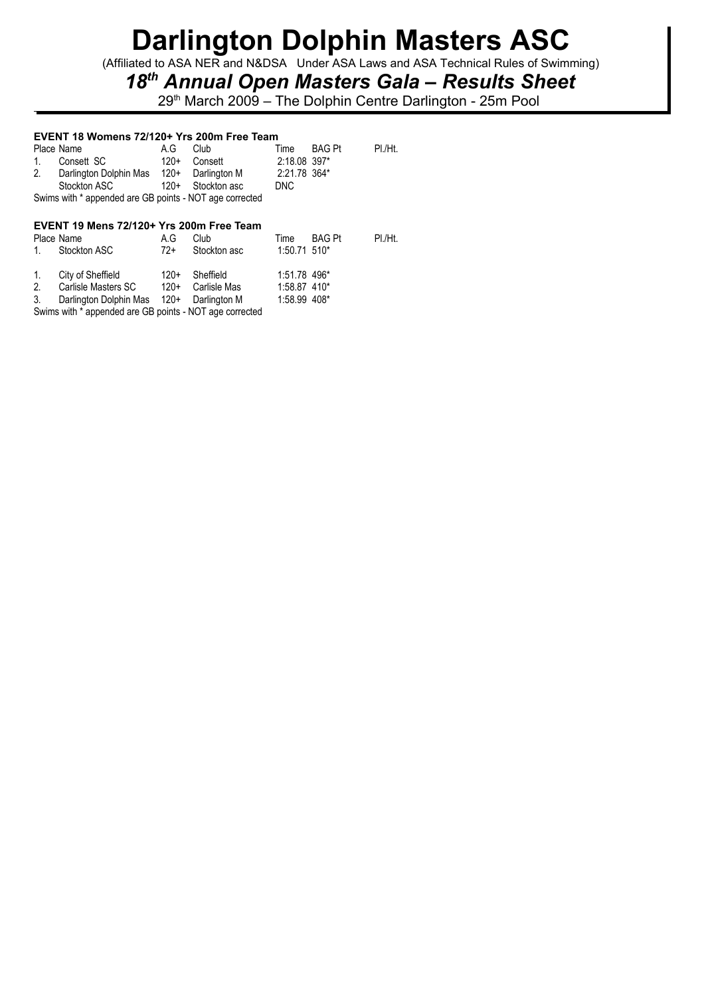(Affiliated to ASA NER and N&DSA Under ASA Laws and ASA Technical Rules of Swimming)

## *18th Annual Open Masters Gala – Results Sheet*

29<sup>th</sup> March 2009 – The Dolphin Centre Darlington - 25m Pool

### **EVENT 18 Womens 72/120+ Yrs 200m Free Team**

|         | EVENT 19 Mens 72/120+ Yrs 200m Free Team                |        |              |              |               |         |
|---------|---------------------------------------------------------|--------|--------------|--------------|---------------|---------|
|         | Swims with * appended are GB points - NOT age corrected |        |              |              |               |         |
|         | Stockton ASC                                            | $120+$ | Stockton asc | DNC          |               |         |
|         | 2. Darlington Dolphin Mas 120+ Darlington M             |        |              | 2:21.78 364* |               |         |
| $1_{-}$ | Consett SC                                              | $120+$ | Consett      | 2:18.08 397* |               |         |
|         | Place Name                                              | A.G    | Club         | Time         | <b>BAG Pt</b> | PI./Ht. |

|    | Place Name<br>1. Stockton ASC            | A.G.<br>72+ | Club<br>Stockton asc | Time<br>$1:50.71$ 510* | BAG Pt | PI./Ht. |
|----|------------------------------------------|-------------|----------------------|------------------------|--------|---------|
| 1. | City of Sheffield                        | $120+$      | Sheffield            | 1:51.78 496*           |        |         |
| 2. | Carlisle Masters SC                      | $120+$      | Carlisle Mas         | 1:58.87 410*           |        |         |
| 3. | Darlington Dolphin Mas 120+ Darlington M |             |                      | 1:58.99 408*           |        |         |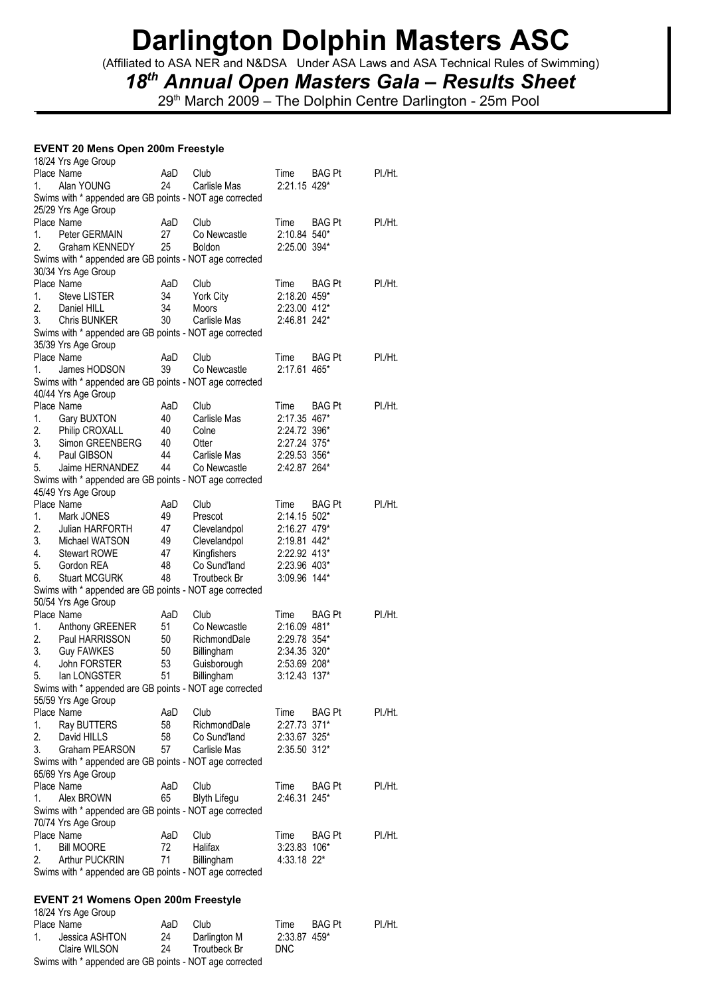(Affiliated to ASA NER and N&DSA Under ASA Laws and ASA Technical Rules of Swimming)

## *18th Annual Open Masters Gala – Results Sheet*

29<sup>th</sup> March 2009 – The Dolphin Centre Darlington - 25m Pool

#### **EVENT 20 Mens Open 200m Freestyle**   $10/21$   $\mu$

|    | 10/24 TIS Age Group                                     |     |                     |              |               |         |
|----|---------------------------------------------------------|-----|---------------------|--------------|---------------|---------|
|    | Place Name                                              | AaD | Club                | Time         | <b>BAG Pt</b> | PI./Ht. |
| 1. | Alan YOUNG                                              | 24  | Carlisle Mas        | 2:21.15 429* |               |         |
|    | Swims with * appended are GB points - NOT age corrected |     |                     |              |               |         |
|    | 25/29 Yrs Age Group                                     |     |                     |              |               |         |
|    | Place Name                                              | AaD | Club                | Time         | <b>BAG Pt</b> | PI./Ht. |
| 1. | Peter GERMAIN                                           | 27  | Co Newcastle        | 2:10.84 540* |               |         |
| 2. | Graham KENNEDY                                          | 25  | <b>Boldon</b>       | 2:25.00 394* |               |         |
|    | Swims with * appended are GB points - NOT age corrected |     |                     |              |               |         |
|    | 30/34 Yrs Age Group                                     |     |                     |              |               |         |
|    | Place Name                                              | AaD | Club                | Time         | <b>BAG Pt</b> | PI./Ht. |
| 1. | <b>Steve LISTER</b>                                     | 34  |                     | 2:18.20 459* |               |         |
|    |                                                         |     | York City           |              |               |         |
| 2. | Daniel HILL                                             | 34  | <b>Moors</b>        | 2:23.00 412* |               |         |
| 3. | <b>Chris BUNKER</b>                                     | 30  | Carlisle Mas        | 2:46.81 242* |               |         |
|    | Swims with * appended are GB points - NOT age corrected |     |                     |              |               |         |
|    | 35/39 Yrs Age Group                                     |     |                     |              |               |         |
|    | Place Name                                              | AaD | Club                | Time         | <b>BAG Pt</b> | PI./Ht. |
| 1. | James HODSON                                            | 39  | Co Newcastle        | 2:17.61 465* |               |         |
|    | Swims with * appended are GB points - NOT age corrected |     |                     |              |               |         |
|    | 40/44 Yrs Age Group                                     |     |                     |              |               |         |
|    | Place Name                                              | AaD | Club                | Time         | <b>BAG Pt</b> | PI./Ht. |
| 1. | Gary BUXTON                                             | 40  | Carlisle Mas        | 2:17.35 467* |               |         |
|    |                                                         |     |                     | 2:24.72 396* |               |         |
| 2. | Philip CROXALL                                          | 40  | Colne               |              |               |         |
| 3. | Simon GREENBERG                                         | 40  | Otter               | 2:27.24 375* |               |         |
| 4. | Paul GIBSON                                             | 44  | Carlisle Mas        | 2:29.53 356* |               |         |
| 5. | Jaime HERNANDEZ                                         | 44  | Co Newcastle        | 2:42.87 264* |               |         |
|    | Swims with * appended are GB points - NOT age corrected |     |                     |              |               |         |
|    | 45/49 Yrs Age Group                                     |     |                     |              |               |         |
|    | Place Name                                              | AaD | Club                | Time         | <b>BAG Pt</b> | PI./Ht. |
| 1. | Mark JONES                                              | 49  | Prescot             | 2:14.15 502* |               |         |
| 2. | Julian HARFORTH                                         | 47  | Clevelandpol        | 2:16.27 479* |               |         |
| 3. | Michael WATSON                                          | 49  | Clevelandpol        | 2:19.81 442* |               |         |
|    |                                                         |     |                     |              |               |         |
| 4. | Stewart ROWE                                            | 47  | Kingfishers         | 2:22.92 413* |               |         |
| 5. | Gordon REA                                              | 48  | Co Sund'land        | 2:23.96 403* |               |         |
| 6. | <b>Stuart MCGURK</b>                                    | 48  | Troutbeck Br        | 3:09.96 144* |               |         |
|    | Swims with * appended are GB points - NOT age corrected |     |                     |              |               |         |
|    | 50/54 Yrs Age Group                                     |     |                     |              |               |         |
|    | Place Name                                              | AaD | Club                | Time         | <b>BAG Pt</b> | PI./Ht. |
| 1. | Anthony GREENER                                         | 51  | Co Newcastle        | 2:16.09 481* |               |         |
| 2. | Paul HARRISSON                                          | 50  | RichmondDale        | 2:29.78 354* |               |         |
| 3. | <b>Guy FAWKES</b>                                       | 50  | Billingham          | 2:34.35 320* |               |         |
| 4. | John FORSTER                                            | 53  | Guisborough         | 2:53.69 208* |               |         |
| 5. | lan LONGSTER                                            | 51  | Billingham          | 3:12.43 137* |               |         |
|    |                                                         |     |                     |              |               |         |
|    | Swims with * appended are GB points - NOT age corrected |     |                     |              |               |         |
|    | 55/59 Yrs Age Group                                     |     |                     |              |               |         |
|    | Place Name                                              | AaD | Club                | Time         | BAG Pt        | PI./Ht. |
| 1. | Ray BUTTERS                                             | 58  | RichmondDale        | 2:27.73 371* |               |         |
| 2. | David HILLS                                             | 58  | Co Sund'land        | 2:33.67 325* |               |         |
| 3. | Graham PEARSON                                          | 57  | Carlisle Mas        | 2:35.50 312* |               |         |
|    | Swims with * appended are GB points - NOT age corrected |     |                     |              |               |         |
|    | 65/69 Yrs Age Group                                     |     |                     |              |               |         |
|    | Place Name                                              | AaD | Club                | Time         | <b>BAG Pt</b> | PI./Ht. |
| 1. | Alex BROWN                                              | 65  |                     | 2:46.31 245* |               |         |
|    |                                                         |     | <b>Blyth Lifegu</b> |              |               |         |
|    | Swims with * appended are GB points - NOT age corrected |     |                     |              |               |         |
|    | 70/74 Yrs Age Group                                     |     |                     |              |               |         |
|    | Place Name                                              | AaD | Club                | Time         | BAG Pt        | PI./Ht. |
| 1. | <b>Bill MOORE</b>                                       | 72  | Halifax             | 3:23.83 106* |               |         |
| 2. | <b>Arthur PUCKRIN</b>                                   | 71  | Billingham          | 4:33.18 22*  |               |         |
|    | Swims with * appended are GB points - NOT age corrected |     |                     |              |               |         |
|    |                                                         |     |                     |              |               |         |

### **EVENT 21 Womens Open 200m Freestyle**  18/24 Yrs Age Group

|             | <b>UVLT IIS AYG UIUU</b> U                              |     |              |              |               |         |
|-------------|---------------------------------------------------------|-----|--------------|--------------|---------------|---------|
|             | Place Name                                              | AaD | Club         | Time         | <b>BAG Pt</b> | PI./Ht. |
| $1_{\cdot}$ | Jessica ASHTON                                          | 24  | Darlington M | 2:33.87 459* |               |         |
|             | Claire WILSON                                           | 24  | Troutbeck Br | DNC.         |               |         |
|             | Swims with * appended are GB points - NOT age corrected |     |              |              |               |         |
|             |                                                         |     |              |              |               |         |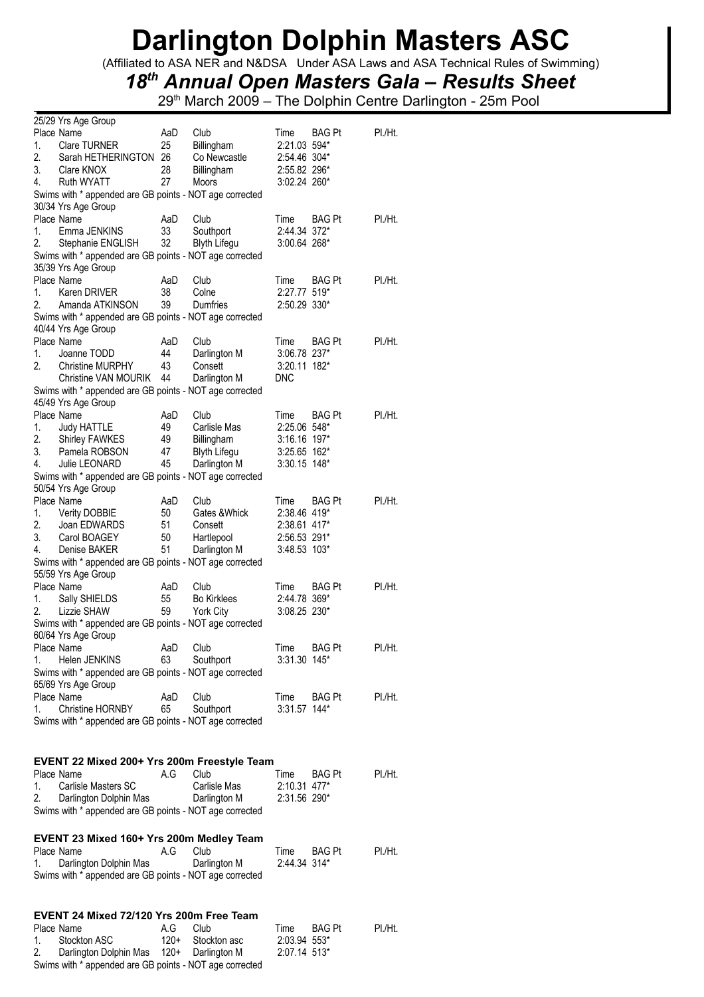(Affiliated to ASA NER and N&DSA Under ASA Laws and ASA Technical Rules of Swimming)

## *18th Annual Open Masters Gala – Results Sheet*

| 25/29 Yrs Age Group                                     |          |                     |                |               |         |
|---------------------------------------------------------|----------|---------------------|----------------|---------------|---------|
| Place Name                                              | AaD      | Club                | Time           | BAG Pt        | PI./Ht. |
| 1.<br><b>Clare TURNER</b>                               | 25       | Billingham          | 2:21.03 594*   |               |         |
| 2.<br>Sarah HETHERINGTON                                | 26       | Co Newcastle        | 2:54.46 304*   |               |         |
| 3.<br>Clare KNOX                                        | 28       | Billingham          | 2:55.82 296*   |               |         |
| 4.<br><b>Ruth WYATT</b>                                 | 27       | Moors               | 3:02.24 260*   |               |         |
| Swims with * appended are GB points - NOT age corrected |          |                     |                |               |         |
| 30/34 Yrs Age Group                                     |          |                     |                |               |         |
| Place Name                                              | AaD      | Club                | Time           | BAG Pt        | PI./Ht. |
| 1.<br>Emma JENKINS                                      | 33       | Southport           | 2:44.34 372*   |               |         |
| 2.<br>Stephanie ENGLISH                                 | 32       | <b>Blyth Lifegu</b> | 3:00.64 268*   |               |         |
| Swims with * appended are GB points - NOT age corrected |          |                     |                |               |         |
| 35/39 Yrs Age Group                                     |          |                     |                |               |         |
| Place Name                                              | AaD      | Club                | Time           | <b>BAG Pt</b> | PI./Ht. |
| 1.<br>Karen DRIVER                                      | 38       | Colne               | 2:27.77 519*   |               |         |
| 2.<br>Amanda ATKINSON                                   | 39       | Dumfries            | 2:50.29 330*   |               |         |
| Swims with * appended are GB points - NOT age corrected |          |                     |                |               |         |
| 40/44 Yrs Age Group                                     |          |                     |                |               |         |
| Place Name                                              | AaD      | Club                | Time           | <b>BAG Pt</b> | PI./Ht. |
| 1.<br>Joanne TODD                                       | 44       | Darlington M        | 3:06.78 237*   |               |         |
| 2.<br><b>Christine MURPHY</b>                           | 43       | Consett             | 3:20.11 182*   |               |         |
|                                                         |          |                     |                |               |         |
| Christine VAN MOURIK                                    | 44       | Darlington M        | <b>DNC</b>     |               |         |
| Swims with * appended are GB points - NOT age corrected |          |                     |                |               |         |
| 45/49 Yrs Age Group                                     |          |                     |                |               |         |
| Place Name                                              | AaD      | Club                | Time           | BAG Pt        | PI./Ht. |
| 1.<br><b>Judy HATTLE</b>                                | 49       | Carlisle Mas        | 2:25.06 548*   |               |         |
| 2.<br><b>Shirley FAWKES</b>                             | 49       | Billingham          | 3:16.16 197*   |               |         |
| 3.<br>Pamela ROBSON                                     | 47       | Blyth Lifegu        | 3:25.65 162*   |               |         |
| 4.<br>Julie LEONARD                                     | 45       | Darlington M        | $3:30.15$ 148* |               |         |
| Swims with * appended are GB points - NOT age corrected |          |                     |                |               |         |
| 50/54 Yrs Age Group                                     |          |                     |                |               |         |
| Place Name                                              | AaD      | Club                | Time           | BAG Pt        | PI./Ht. |
| 1.<br><b>Verity DOBBIE</b>                              | 50       | Gates & Whick       | 2:38.46 419*   |               |         |
| 2.<br>Joan EDWARDS                                      | 51       | Consett             | 2:38.61 417*   |               |         |
| 3.<br>Carol BOAGEY                                      | 50       | Hartlepool          | 2:56.53 291*   |               |         |
| 4.<br>Denise BAKER                                      | 51       | Darlington M        | 3:48.53 103*   |               |         |
| Swims with * appended are GB points - NOT age corrected |          |                     |                |               |         |
| 55/59 Yrs Age Group                                     |          |                     |                |               |         |
| Place Name                                              | AaD      | Club                | Time           | BAG Pt        | PI./Ht. |
| 1.<br>Sally SHIELDS                                     | 55       | <b>Bo Kirklees</b>  | 2:44.78 369*   |               |         |
| 2.<br>Lizzie SHAW                                       | 59       | York City           | 3:08.25 230*   |               |         |
| Swims with * appended are GB points - NOT age corrected |          |                     |                |               |         |
| 60/64 Yrs Age Group                                     |          |                     |                |               |         |
| Place Name                                              | AaD Club |                     |                | Time BAG Pt   | PI./Ht. |
| 1.<br>Helen JENKINS                                     | 63       | Southport           | 3:31.30 145*   |               |         |
| Swims with * appended are GB points - NOT age corrected |          |                     |                |               |         |
|                                                         |          |                     |                |               |         |
| 65/69 Yrs Age Group                                     |          |                     |                |               |         |
| Place Name                                              | AaD      | Club                | Time           | BAG Pt        | PI./Ht. |
| Christine HORNBY<br>1.                                  | 65       | Southport           | 3:31.57 144*   |               |         |
| Swims with * appended are GB points - NOT age corrected |          |                     |                |               |         |
|                                                         |          |                     |                |               |         |
|                                                         |          |                     |                |               |         |
| EVENT 22 Mixed 200+ Yrs 200m Freestyle Team             |          |                     |                |               |         |
| Place Name                                              | A.G      | Club                | Time           | BAG Pt        | PI./Ht. |
| 1.<br>Carlisle Masters SC                               |          | Carlisle Mas        | 2:10.31 477*   |               |         |
| 2.<br>Darlington Dolphin Mas                            |          | Darlington M        | 2:31.56 290*   |               |         |
| Swims with * appended are GB points - NOT age corrected |          |                     |                |               |         |
|                                                         |          |                     |                |               |         |
|                                                         |          |                     |                |               |         |
| EVENT 23 Mixed 160+ Yrs 200m Medley Team                |          |                     |                |               |         |
| Place Name                                              | A.G      | Club                | Time           | BAG Pt        | PI./Ht. |
| Darlington Dolphin Mas<br>1.                            |          | Darlington M        | 2:44.34 314*   |               |         |
| Swims with * appended are GB points - NOT age corrected |          |                     |                |               |         |
|                                                         |          |                     |                |               |         |
|                                                         |          |                     |                |               |         |
| EVENT 24 Mixed 72/120 Yrs 200m Free Team                |          |                     |                |               |         |
| Place Name                                              | A.G      | Club                | Time           | BAG Pt        | PI./Ht. |
| Stockton ASC<br>1.                                      | $120+$   | Stockton asc        | 2:03.94 553*   |               |         |
| 2.<br>Darlington Dolphin Mas                            | 120+     | Darlington M        | 2:07.14 513*   |               |         |
| Swims with * appended are GB points - NOT age corrected |          |                     |                |               |         |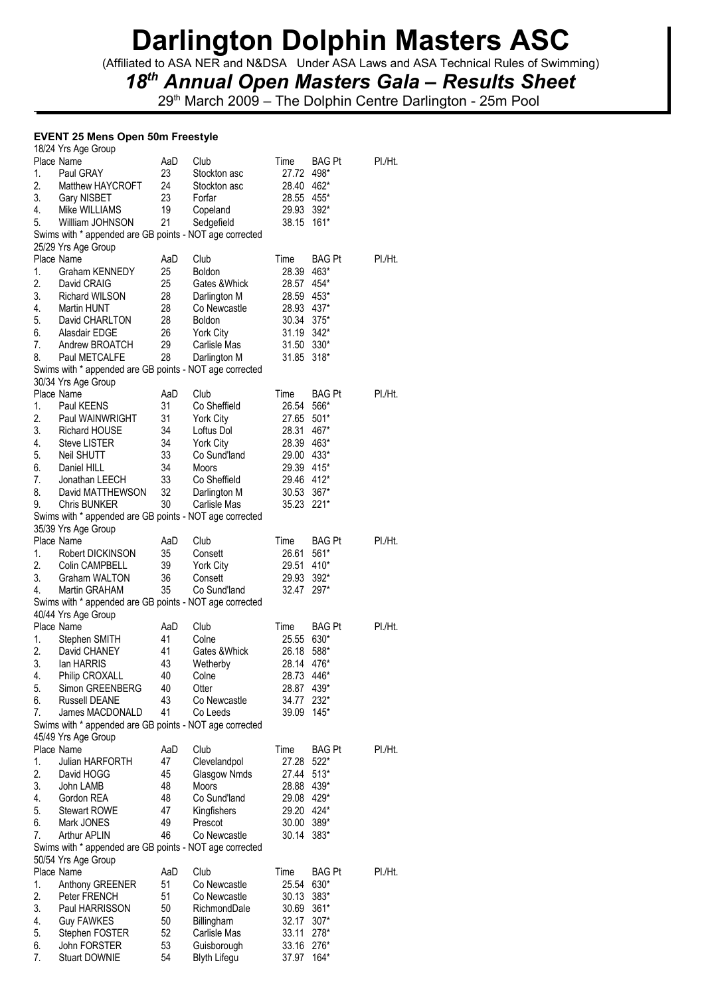(Affiliated to ASA NER and N&DSA Under ASA Laws and ASA Technical Rules of Swimming)

## *18th Annual Open Masters Gala – Results Sheet*

29<sup>th</sup> March 2009 – The Dolphin Centre Darlington - 25m Pool

### **EVENT 25 Mens Open 50m Freestyle**

|    | 18/24 Yrs Age Group                                     |     |                            |            |               |         |
|----|---------------------------------------------------------|-----|----------------------------|------------|---------------|---------|
|    | Place Name                                              | AaD | Club                       | Time       | BAG Pt        | PI./Ht. |
| 1. | Paul GRAY                                               | 23  | Stockton asc               | 27.72      | 498*          |         |
| 2. | Matthew HAYCROFT                                        | 24  | Stockton asc               | 28.40 462* |               |         |
| 3. | Gary NISBET                                             | 23  | Forfar                     | 28.55 455* |               |         |
| 4. | Mike WILLIAMS                                           | 19  | Copeland                   | 29.93      | $392*$        |         |
| 5. | William JOHNSON                                         | 21  | Sedgefield                 | 38.15      | $161*$        |         |
|    | Swims with * appended are GB points - NOT age corrected |     |                            |            |               |         |
|    | 25/29 Yrs Age Group                                     |     |                            |            |               |         |
|    | Place Name                                              | AaD | Club                       | Time       | <b>BAG Pt</b> | PI./Ht. |
| 1. | <b>Graham KENNEDY</b>                                   | 25  | Boldon                     | 28.39      | 463*          |         |
| 2. | David CRAIG                                             | 25  | Gates &Whick               | 28.57      | 454*          |         |
| 3. | <b>Richard WILSON</b>                                   | 28  | Darlington M               | 28.59      | 453*          |         |
| 4. | <b>Martin HUNT</b>                                      | 28  | Co Newcastle               | 28.93 437* |               |         |
| 5. | David CHARLTON                                          | 28  | <b>Boldon</b>              | 30.34      | $375*$        |         |
| 6. | Alasdair EDGE                                           | 26  | York City                  | 31.19 342* |               |         |
| 7. | Andrew BROATCH                                          | 29  | Carlisle Mas               | 31.50 330* |               |         |
| 8. | Paul METCALFE                                           | 28  | Darlington M               | 31.85      | $318*$        |         |
|    | Swims with * appended are GB points - NOT age corrected |     |                            |            |               |         |
|    | 30/34 Yrs Age Group                                     |     |                            |            |               |         |
|    | Place Name                                              | AaD | Club                       | Time       | <b>BAG Pt</b> | PI./Ht. |
| 1. | Paul KEENS                                              | 31  | Co Sheffield               | 26.54      | 566*          |         |
| 2. | Paul WAINWRIGHT                                         | 31  | York City                  | 27.65      | $501*$        |         |
| 3. | <b>Richard HOUSE</b>                                    | 34  | Loftus Dol                 | 28.31      | 467*          |         |
| 4. | <b>Steve LISTER</b>                                     | 34  | <b>York City</b>           | 28.39 463* |               |         |
| 5. | <b>Neil SHUTT</b>                                       | 33  | Co Sund'land               | 29.00 433* |               |         |
| 6. | Daniel HILL                                             | 34  | Moors                      | 29.39 415* |               |         |
| 7. | Jonathan LEECH                                          | 33  | Co Sheffield               | 29.46 412* |               |         |
| 8. | David MATTHEWSON                                        | 32  |                            |            | $367*$        |         |
|    |                                                         |     | Darlington M               | 30.53      |               |         |
| 9. | <b>Chris BUNKER</b>                                     | 30  | Carlisle Mas               | 35.23 221* |               |         |
|    | Swims with * appended are GB points - NOT age corrected |     |                            |            |               |         |
|    | 35/39 Yrs Age Group                                     |     |                            |            |               |         |
|    | Place Name                                              | AaD | Club                       | Time       | BAG Pt        | PI./Ht. |
| 1. | Robert DICKINSON                                        | 35  | Consett                    | 26.61      | 561*          |         |
| 2. | Colin CAMPBELL                                          | 39  | York City                  | 29.51      | 410*          |         |
| 3. | Graham WALTON                                           | 36  | Consett                    | 29.93      | $392*$        |         |
| 4. | Martin GRAHAM                                           | 35  | Co Sund'land               | 32.47      | 297*          |         |
|    | Swims with * appended are GB points - NOT age corrected |     |                            |            |               |         |
|    | 40/44 Yrs Age Group                                     |     |                            |            |               |         |
|    | Place Name                                              | AaD | Club                       | Time       | BAG Pt        | PI./Ht. |
| 1. | Stephen SMITH                                           | 41  | Colne                      | 25.55      | 630*          |         |
| 2. | David CHANEY                                            | 41  | Gates &Whick               | 26.18      | 588*          |         |
| 3. | lan HARRIS                                              | 43  | Wetherby                   | 28.14 476* |               |         |
| 4. | Philip CROXALL                                          | 40  | Colne                      | 28.73 446* |               |         |
| 5. | Simon GREENBERG                                         | 40  | Otter                      | 28.87 439* |               |         |
| 6. | <b>Russell DEANE</b>                                    | 43  | Co Newcastle               | 34.77      | 232*          |         |
| 7. | James MACDONALD                                         | 41  | Co Leeds                   | 39.09      | $145*$        |         |
|    | Swims with * appended are GB points - NOT age corrected |     |                            |            |               |         |
|    | 45/49 Yrs Age Group                                     |     |                            |            |               |         |
|    | Place Name                                              | AaD | Club                       | Time       | <b>BAG Pt</b> | PI./Ht. |
| 1. | Julian HARFORTH                                         | 47  | Clevelandpol               | 27.28      | $522*$        |         |
| 2. | David HOGG                                              | 45  | Glasgow Nmds               | 27.44      | $513*$        |         |
| 3. | John LAMB                                               | 48  | Moors                      | 28.88      | 439*          |         |
| 4. | Gordon REA                                              | 48  | Co Sund'land               | 29.08 429* |               |         |
| 5. | <b>Stewart ROWE</b>                                     | 47  | Kingfishers                | 29.20 424* |               |         |
| 6. | Mark JONES                                              | 49  | Prescot                    | 30.00      | 389*          |         |
| 7. | Arthur APLIN                                            | 46  | Co Newcastle               | 30.14      | 383*          |         |
|    | Swims with * appended are GB points - NOT age corrected |     |                            |            |               |         |
|    | 50/54 Yrs Age Group                                     |     |                            |            |               |         |
|    | Place Name                                              | AaD | Club                       | Time       | <b>BAG Pt</b> | PI./Ht. |
| 1. | Anthony GREENER                                         | 51  | Co Newcastle               | 25.54      | 630*          |         |
| 2. | Peter FRENCH                                            | 51  | Co Newcastle               | 30.13      | $383*$        |         |
| 3. | Paul HARRISSON                                          | 50  | RichmondDale               | 30.69      | $361*$        |         |
| 4. |                                                         | 50  |                            | 32.17      | $307*$        |         |
| 5. | Guy FAWKES                                              | 52  | Billingham<br>Carlisle Mas | 33.11      | 278*          |         |
|    | Stephen FOSTER                                          |     |                            |            |               |         |
| 6. | John FORSTER                                            | 53  | Guisborough                | 33.16      | 276*          |         |
| 7. | Stuart DOWNIE                                           | 54  | <b>Blyth Lifegu</b>        | 37.97      | 164*          |         |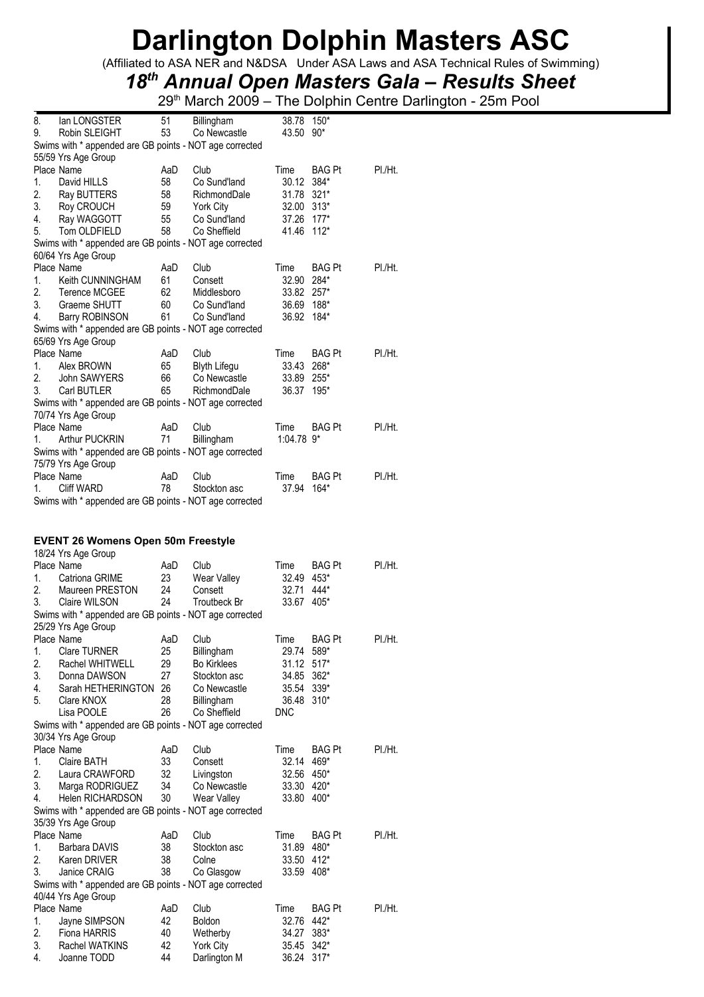(Affiliated to ASA NER and N&DSA Under ASA Laws and ASA Technical Rules of Swimming)

## *18th Annual Open Masters Gala – Results Sheet*

29th March 2009 – The Dolphin Centre Darlington - 25m Pool

| 8. | lan LONGSTER                                            | 51  | <b>Billingham</b>   | 38.78 150*               |               |         |
|----|---------------------------------------------------------|-----|---------------------|--------------------------|---------------|---------|
| 9. | Robin SLEIGHT                                           | 53  | Co Newcastle        | 43.50                    | $90*$         |         |
|    | Swims with * appended are GB points - NOT age corrected |     |                     |                          |               |         |
|    | 55/59 Yrs Age Group                                     |     |                     |                          |               |         |
|    | Place Name                                              | AaD | Club                | Time                     | <b>BAG Pt</b> | PI./Ht. |
| 1. | David HILLS                                             | 58  | Co Sund'land        | 30.12                    | 384*          |         |
| 2. | Ray BUTTERS                                             | 58  | RichmondDale        | 31.78                    | $321*$        |         |
| 3. | Roy CROUCH                                              | 59  | York City           | 32.00                    | $313*$        |         |
| 4. | Ray WAGGOTT                                             | 55  | Co Sund'land        | 37.26 177*               |               |         |
| 5. | Tom OLDFIELD                                            | 58  | Co Sheffield        | 41.46                    | $112*$        |         |
|    | Swims with * appended are GB points - NOT age corrected |     |                     |                          |               |         |
|    | 60/64 Yrs Age Group                                     |     |                     |                          |               |         |
|    | Place Name                                              | AaD | Club                | Time                     | <b>BAG Pt</b> | PI./Ht. |
| 1. | Keith CUNNINGHAM                                        | 61  | Consett             | 32.90                    | 284*          |         |
| 2. | Terence MCGEE                                           | 62  | Middlesboro         | 33.82                    | $257*$        |         |
| 3. | Graeme SHUTT                                            | 60  | Co Sund'land        | 36.69 188*               |               |         |
| 4. | Barry ROBINSON                                          | 61  | Co Sund'land        | 36.92                    | 184*          |         |
|    | Swims with * appended are GB points - NOT age corrected |     |                     |                          |               |         |
|    | 65/69 Yrs Age Group                                     |     |                     |                          |               |         |
|    | Place Name                                              | AaD | Club                | Time                     | <b>BAG Pt</b> | PI./Ht. |
| 1. | Alex BROWN                                              | 65  | <b>Blyth Lifegu</b> | 33.43                    | 268*          |         |
| 2. | <b>John SAWYERS</b>                                     | 66  | Co Newcastle        | 33.89                    | $255*$        |         |
| 3. | Carl BUTLER                                             | 65  | RichmondDale        | 36.37                    | 195*          |         |
|    | Swims with * appended are GB points - NOT age corrected |     |                     |                          |               |         |
|    | 70/74 Yrs Age Group                                     |     |                     |                          |               |         |
|    | Place Name                                              | AaD | Club                | Time                     | <b>BAG Pt</b> | PI./Ht. |
| 1. | <b>Arthur PUCKRIN</b>                                   | 71  | Billingham          | $1:04.78$ 9 <sup>*</sup> |               |         |
|    | Swims with * appended are GB points - NOT age corrected |     |                     |                          |               |         |
|    | 75/79 Yrs Age Group                                     |     |                     |                          |               |         |
|    | Place Name                                              | AaD | Club                | Time                     | BAG Pt        | PI./Ht. |
| 1. | Cliff WARD                                              | 78  | Stockton asc        | 37.94                    | 164*          |         |
|    | Swims with * appended are GB points - NOT age corrected |     |                     |                          |               |         |
|    |                                                         |     |                     |                          |               |         |
|    |                                                         |     |                     |                          |               |         |
|    | <b>EVENT 26 Womens Open 50m Freestyle</b>               |     |                     |                          |               |         |
|    | 18/24 Yrs Age Group                                     |     |                     |                          |               |         |
|    | Place Name                                              | AaD | Club                | Time                     | <b>BAG Pt</b> | PI./Ht. |
| 1. | Catriona GRIME                                          | 23  | Wear Valley         | 32.49                    | 453*          |         |
| 2. | Maureen PRESTON                                         | 24  | Consett             | 32.71                    | 444*          |         |
| 3. | Claire WILSON                                           | 24  | <b>Troutbeck Br</b> | 33.67 405*               |               |         |
|    | Swims with * appended are GB points - NOT age corrected |     |                     |                          |               |         |
|    | 25/29 Yrs Age Group                                     |     |                     |                          |               |         |
|    | Place Name                                              | AaD | Club                | Time                     | <b>BAG Pt</b> | PI./Ht. |
| 1. | <b>Clare TURNER</b>                                     | 25  | Billingham          | 29.74                    | 589*          |         |
| 2. | Rachel WHITWELL                                         | 29  | <b>Bo Kirklees</b>  | 31.12                    | $517*$        |         |
| 3. | Donna DAWSON                                            | 27  | Stockton asc        | 34.85                    | $362*$        |         |
| 4. | Sarah HETHERINGTON                                      | 26  | Co Newcastle        | 35.54                    | $339*$        |         |
| 5. | Clare KNOX                                              | 28  | Billingham          | 36.48                    | $310*$        |         |
|    | Lisa POOLE                                              | 26  | Co Sheffield        | <b>DNC</b>               |               |         |
|    | Swims with * appended are GB points - NOT age corrected |     |                     |                          |               |         |
|    | 30/34 Yrs Age Group                                     |     |                     |                          |               |         |
|    | Place Name                                              | AaD | Club                | Time                     | <b>BAG Pt</b> | PI./Ht. |
| 1. | Claire BATH                                             | 33  | Consett             | 32.14                    | 469*          |         |
| 2. | Laura CRAWFORD                                          | 32  | Livingston          | 32.56                    | 450*          |         |
| 3. | Marga RODRIGUEZ                                         | 34  | Co Newcastle        | 33.30 420*               |               |         |

4. Helen RICHARDSON 30 Wear Valley 33.80 400\*

2. Karen DRIVER 38 Colne 33.50 412\*<br>3. Janice CRAIG 38 Co Glasgow 33.59 408\* 3. Janice CRAIG 38 Co Glasgow 33.59 408\*

1. Jayne SIMPSON 42 Boldon 32.76 442\* 2. Fiona HARRIS 40 Wetherby 34.27 383\*<br>3. Rachel WATKINS 42 York City 35.45 342\* 3. Rachel WATKINS 42 York City 35.45 342\*<br>4. Joanne TODD 44 Darlington M 36.24 317\*

Place Name  $A$ aD Club Time BAG Pt Pl./Ht.<br>
1. Barbara DAVIS 38 Stockton asc 31.89 480\*

Place Name  $A$ aD Club Time BAG Pt Pl./Ht.

Darlington M

Swims with \* appended are GB points - NOT age corrected

Swims with \* appended are GB points - NOT age corrected

35/39 Yrs Age Group

40/44 Yrs Age Group

1. Barbara DAVIS 38<br>2. Karen DRIVER 38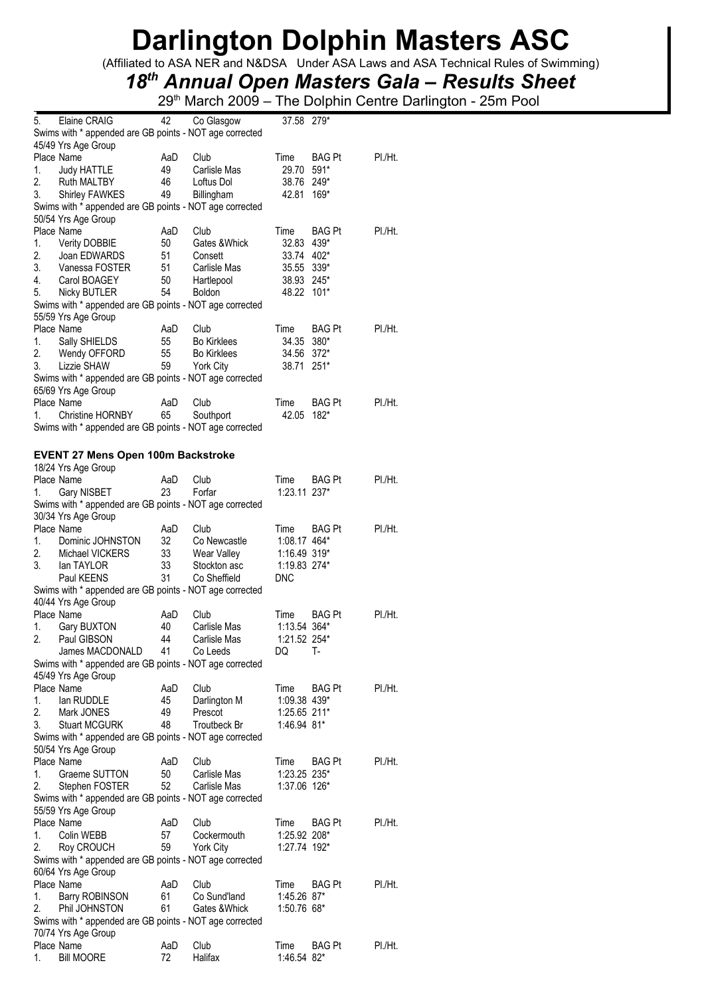(Affiliated to ASA NER and N&DSA Under ASA Laws and ASA Technical Rules of Swimming)

## *18th Annual Open Masters Gala – Results Sheet*

| 5. | Elaine CRAIG                                            | 42        | Co Glasgow           | 37.58 279*   |               |         |
|----|---------------------------------------------------------|-----------|----------------------|--------------|---------------|---------|
|    | Swims with * appended are GB points - NOT age corrected |           |                      |              |               |         |
|    | 45/49 Yrs Age Group                                     |           |                      |              |               |         |
|    | Place Name                                              | AaD       | Club                 | Time         | <b>BAG Pt</b> | PI./Ht. |
| 1. | Judy HATTLE                                             | 49        | Carlisle Mas         | 29.70        | 591*          |         |
| 2. | Ruth MALTBY                                             | 46        | Loftus Dol           | 38.76 249*   |               |         |
| 3. | Shirley FAWKES                                          | 49        | Billingham           | 42.81        | 169*          |         |
|    | Swims with * appended are GB points - NOT age corrected |           |                      |              |               |         |
|    | 50/54 Yrs Age Group                                     |           |                      |              |               |         |
|    | Place Name                                              | AaD       | Club                 | Time         | <b>BAG Pt</b> | PI./Ht. |
| 1. | <b>Verity DOBBIE</b>                                    | 50        | Gates & Whick        | 32.83 439*   |               |         |
| 2. | Joan EDWARDS                                            | 51        | Consett              | 33.74 402*   |               |         |
| 3. | Vanessa FOSTER                                          | 51        | Carlisle Mas         | 35.55 339*   |               |         |
| 4. | Carol BOAGEY                                            | 50        | Hartlepool           | 38.93 245*   |               |         |
| 5. | Nicky BUTLER                                            | 54        | Boldon               | 48.22 101*   |               |         |
|    | Swims with * appended are GB points - NOT age corrected |           |                      |              |               |         |
|    | 55/59 Yrs Age Group                                     |           |                      |              |               |         |
|    | Place Name                                              | AaD       | Club                 | Time         | BAG Pt        | PI./Ht. |
| 1. | Sally SHIELDS                                           | 55        | <b>Bo Kirklees</b>   | 34.35 380*   |               |         |
| 2. | Wendy OFFORD                                            | 55        | <b>Bo Kirklees</b>   | 34.56 372*   |               |         |
| 3. | Lizzie SHAW                                             | 59        | <b>York City</b>     | 38.71 251*   |               |         |
|    | Swims with * appended are GB points - NOT age corrected |           |                      |              |               |         |
|    | 65/69 Yrs Age Group                                     |           |                      |              |               |         |
|    | Place Name                                              | AaD       | Club                 | Time         | <b>BAG Pt</b> | PI./Ht. |
| 1. | Christine HORNBY                                        | 65        | Southport            | 42.05        | $182*$        |         |
|    | Swims with * appended are GB points - NOT age corrected |           |                      |              |               |         |
|    |                                                         |           |                      |              |               |         |
|    | <b>EVENT 27 Mens Open 100m Backstroke</b>               |           |                      |              |               |         |
|    | 18/24 Yrs Age Group                                     |           |                      |              |               |         |
|    | Place Name                                              | AaD       | Club                 | Time         | <b>BAG Pt</b> | PI./Ht. |
| 1. | Gary NISBET                                             | 23        | Forfar               | 1:23.11 237* |               |         |
|    | Swims with * appended are GB points - NOT age corrected |           |                      |              |               |         |
|    | 30/34 Yrs Age Group                                     |           |                      |              |               |         |
|    | Place Name                                              | AaD       | Club                 | Time         | BAG Pt        | PI./Ht. |
| 1. | Dominic JOHNSTON                                        | 32        | Co Newcastle         | 1:08.17 464* |               |         |
| 2. | Michael VICKERS                                         | 33        | Wear Valley          | 1:16.49 319* |               |         |
| 3. | lan TAYLOR                                              | 33        | Stockton asc         | 1:19.83 274* |               |         |
|    | Paul KEENS                                              | 31        | Co Sheffield         | <b>DNC</b>   |               |         |
|    | Swims with * appended are GB points - NOT age corrected |           |                      |              |               |         |
|    | 40/44 Yrs Age Group                                     |           |                      |              |               |         |
|    | Place Name                                              | AaD       | Club                 | Time         | <b>BAG Pt</b> | PI./Ht. |
| 1. | Gary BUXTON                                             | 40        | Carlisle Mas         | 1:13.54 364* |               |         |
| 2. | Paul GIBSON                                             | 44        | Carlisle Mas         | 1:21.52 254* |               |         |
|    | James MACDONALD                                         | 41        | Co Leeds             | DQ           | т-            |         |
|    | Swims with * appended are GB points - NOT age corrected |           |                      |              |               |         |
|    | 45/49 Yrs Age Group                                     |           |                      |              |               |         |
|    | Place Name                                              | AaD       | Club                 | Time         | BAG Pt        | PI./Ht. |
| 1. | lan RUDDLE                                              | 45        | Darlington M         | 1:09.38 439* |               |         |
| 2. | Mark JONES                                              | 49        | Prescot              | 1:25.65 211* |               |         |
| 3. | <b>Stuart MCGURK</b>                                    | 48        | <b>Troutbeck Br</b>  | 1:46.94 81*  |               |         |
|    | Swims with * appended are GB points - NOT age corrected |           |                      |              |               |         |
|    | 50/54 Yrs Age Group                                     |           |                      |              |               |         |
|    | Place Name                                              | AaD       | Club                 | Time         | BAG Pt        | PI./Ht. |
| 1. | Graeme SUTTON                                           | 50        | Carlisle Mas         | 1:23.25 235* |               |         |
| 2. | Stephen FOSTER                                          | 52        | Carlisle Mas         | 1:37.06 126* |               |         |
|    | Swims with * appended are GB points - NOT age corrected |           |                      |              |               |         |
|    | 55/59 Yrs Age Group                                     |           |                      |              |               |         |
|    | Place Name                                              | AaD       | Club                 | Time         | BAG Pt        | PI./Ht. |
| 1. | Colin WEBB                                              | 57        | Cockermouth          | 1:25.92 208* |               |         |
| 2. | Roy CROUCH                                              | 59        | <b>York City</b>     | 1:27.74 192* |               |         |
|    | Swims with * appended are GB points - NOT age corrected |           |                      |              |               |         |
|    | 60/64 Yrs Age Group                                     |           |                      |              |               |         |
|    |                                                         |           |                      |              |               |         |
| 1. | Place Name                                              | AaD<br>61 | Club<br>Co Sund'land | Time         | BAG Pt        | PI./Ht. |
| 2. | <b>Barry ROBINSON</b><br>Phil JOHNSTON                  | 61        | Gates & Whick        | 1:45.26 87*  |               |         |
|    | Swims with * appended are GB points - NOT age corrected |           |                      | 1:50.76 68*  |               |         |
|    |                                                         |           |                      |              |               |         |
|    | 70/74 Yrs Age Group<br>Place Name                       | AaD       | Club                 | Time         | BAG Pt        | PI./Ht. |
| 1. | <b>Bill MOORE</b>                                       | 72        | Halifax              | 1:46.54 82*  |               |         |
|    |                                                         |           |                      |              |               |         |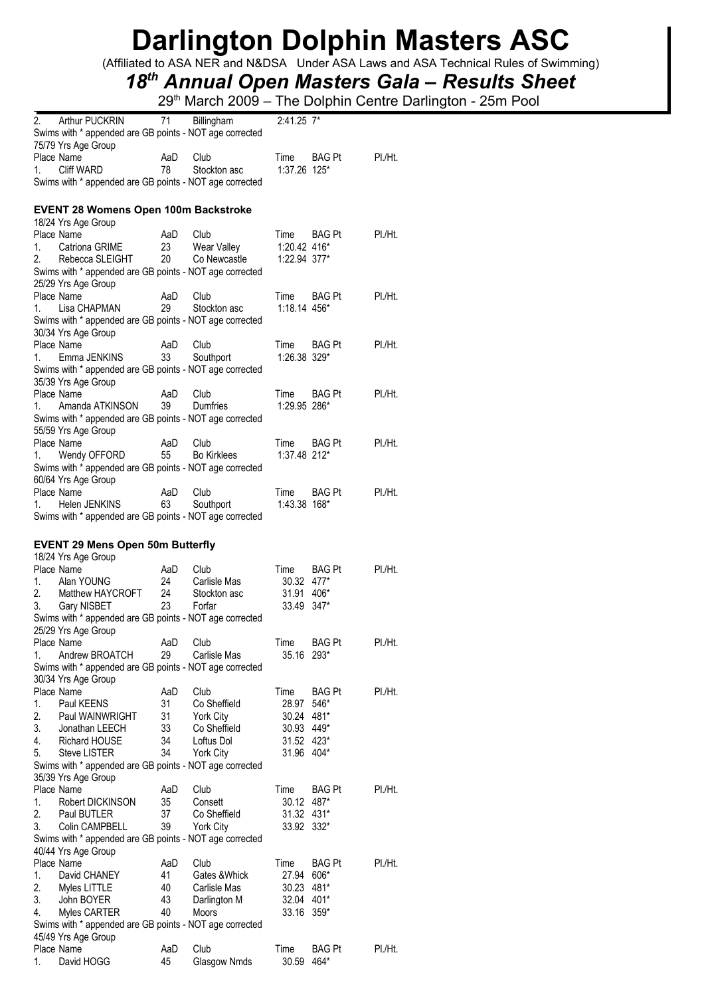(Affiliated to ASA NER and N&DSA Under ASA Laws and ASA Technical Rules of Swimming)

## *18th Annual Open Masters Gala – Results Sheet*

|    | Arthur PUCKRIN                                          | 71        | Billingham         | 2:41.25 7*   |               |         |
|----|---------------------------------------------------------|-----------|--------------------|--------------|---------------|---------|
|    | Swims with * appended are GB points - NOT age corrected |           |                    |              |               |         |
|    | 75/79 Yrs Age Group                                     |           |                    |              |               |         |
|    | Place Name                                              | AaD       | Club               | Time         | <b>BAG Pt</b> | PI./Ht. |
| 1. | <b>Cliff WARD</b>                                       | 78        | Stockton asc       | 1:37.26 125* |               |         |
|    | Swims with * appended are GB points - NOT age corrected |           |                    |              |               |         |
|    |                                                         |           |                    |              |               |         |
|    | <b>EVENT 28 Womens Open 100m Backstroke</b>             |           |                    |              |               |         |
|    | 18/24 Yrs Age Group                                     |           |                    |              |               |         |
|    | Place Name                                              | AaD       | Club               | Time         | <b>BAG Pt</b> | PI./Ht. |
| 1. | Catriona GRIME                                          | 23        | Wear Valley        | 1:20.42 416* |               |         |
| 2. | Rebecca SLEIGHT                                         | 20        | Co Newcastle       | 1:22.94 377* |               |         |
|    | Swims with * appended are GB points - NOT age corrected |           |                    |              |               |         |
|    | 25/29 Yrs Age Group                                     |           |                    |              |               |         |
|    | Place Name                                              | AaD       | Club               | Time         | <b>BAG Pt</b> | PI./Ht. |
| 1. | Lisa CHAPMAN                                            | 29        | Stockton asc       | 1:18.14 456* |               |         |
|    | Swims with * appended are GB points - NOT age corrected |           |                    |              |               |         |
|    | 30/34 Yrs Age Group                                     |           |                    |              |               |         |
|    | Place Name                                              | AaD       | Club               | Time         | <b>BAG Pt</b> | PI./Ht. |
| 1. | Emma JENKINS                                            | 33        | Southport          | 1:26.38 329* |               |         |
|    | Swims with * appended are GB points - NOT age corrected |           |                    |              |               |         |
|    | 35/39 Yrs Age Group                                     |           |                    |              |               |         |
|    | Place Name                                              | AaD       | Club               | Time         | <b>BAG Pt</b> | PI./Ht. |
| 1. |                                                         | 39        | Dumfries           | 1:29.95 286* |               |         |
|    | Amanda ATKINSON                                         |           |                    |              |               |         |
|    | Swims with * appended are GB points - NOT age corrected |           |                    |              |               |         |
|    | 55/59 Yrs Age Group<br>Place Name                       | AaD       | Club               | Time         |               | PI.Ht.  |
|    |                                                         | 55        | <b>Bo Kirklees</b> | 1:37.48 212* | <b>BAG Pt</b> |         |
| 1. | Wendy OFFORD                                            |           |                    |              |               |         |
|    | Swims with * appended are GB points - NOT age corrected |           |                    |              |               |         |
|    | 60/64 Yrs Age Group                                     |           |                    |              |               |         |
|    | Place Name<br>Helen JENKINS                             | AaD<br>63 | Club               | Time         | <b>BAG Pt</b> | PI./Ht. |
| 1. |                                                         |           | Southport          | 1:43.38 168* |               |         |
|    | Swims with * appended are GB points - NOT age corrected |           |                    |              |               |         |
|    |                                                         |           |                    |              |               |         |
|    |                                                         |           |                    |              |               |         |
|    | <b>EVENT 29 Mens Open 50m Butterfly</b>                 |           |                    |              |               |         |
|    | 18/24 Yrs Age Group                                     |           |                    |              |               |         |
|    | Place Name                                              | AaD       | Club               | Time         | BAG Pt        | PI./Ht. |
| 1. | Alan YOUNG                                              | 24        | Carlisle Mas       | 30.32 477*   |               |         |
| 2. | Matthew HAYCROFT                                        | 24        | Stockton asc       | 31.91        | 406*          |         |
| 3. | Gary NISBET                                             | 23        | Forfar             | 33.49 347*   |               |         |
|    | Swims with * appended are GB points - NOT age corrected |           |                    |              |               |         |
|    | 25/29 Yrs Age Group                                     |           |                    |              |               |         |
|    | Place Name                                              | AaD       | Club               | Time         | BAG Pt        | PI./Ht. |
| 1. | Andrew BROATCH                                          | 29        | Carlisle Mas       | 35.16 293*   |               |         |
|    | Swims with * appended are GB points - NOT age corrected |           |                    |              |               |         |
|    | 30/34 Yrs Age Group                                     |           |                    |              |               |         |
|    | Place Name                                              | AaD       | Club               | Time         | <b>BAG Pt</b> | PI./Ht. |
| 1. | Paul KEENS                                              | 31        | Co Sheffield       | 28.97        | 546*          |         |
| 2. | Paul WAINWRIGHT                                         | 31        | <b>York City</b>   | 30.24 481*   |               |         |
| 3. | Jonathan LEECH                                          | 33        | Co Sheffield       | 30.93 449*   |               |         |
| 4. | <b>Richard HOUSE</b>                                    | 34        | Loftus Dol         | 31.52 423*   |               |         |
| 5. | <b>Steve LISTER</b>                                     | 34        | York City          | 31.96 404*   |               |         |
|    | Swims with * appended are GB points - NOT age corrected |           |                    |              |               |         |
|    | 35/39 Yrs Age Group                                     |           |                    |              |               |         |
|    | Place Name                                              | AaD       | Club               | Time         | BAG Pt        | PI./Ht. |
| 1. | Robert DICKINSON                                        | 35        | Consett            | 30.12 487*   |               |         |
| 2. | Paul BUTLER                                             | 37        | Co Sheffield       | 31.32 431*   |               |         |
| 3. | Colin CAMPBELL                                          | 39        | York City          | 33.92 332*   |               |         |
|    | Swims with * appended are GB points - NOT age corrected |           |                    |              |               |         |
|    | 40/44 Yrs Age Group                                     |           |                    |              |               |         |
|    | Place Name                                              | AaD       | Club               | Time         | <b>BAG Pt</b> | PI./Ht. |
| 1. | David CHANEY                                            | 41        | Gates & Whick      | 27.94        | 606*          |         |
| 2. | Myles LITTLE                                            | 40        | Carlisle Mas       | 30.23 481*   |               |         |
| 3. | John BOYER                                              | 43        | Darlington M       | 32.04 401*   |               |         |
| 4. | Myles CARTER                                            | 40        | Moors              | 33.16 359*   |               |         |
|    | Swims with * appended are GB points - NOT age corrected |           |                    |              |               |         |
|    | 45/49 Yrs Age Group                                     |           |                    |              |               |         |
|    | Place Name                                              | AaD       | Club               | Time         | BAG Pt        | PI./Ht. |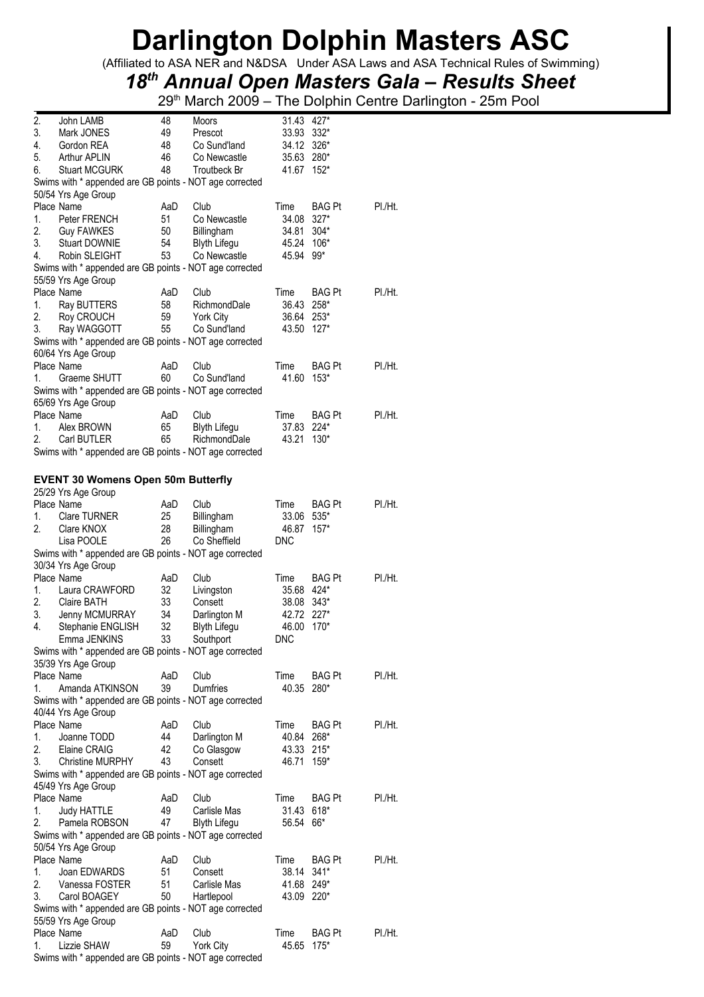(Affiliated to ASA NER and N&DSA Under ASA Laws and ASA Technical Rules of Swimming)

## *18th Annual Open Masters Gala – Results Sheet*

29<sup>th</sup> March 2009 – The Dolphin Centre Darlington - 25m Pool

| 2. | John LAMB                                               | 48        | Moors               | 31.43 427*    |                  |         |
|----|---------------------------------------------------------|-----------|---------------------|---------------|------------------|---------|
| 3. | Mark JONES                                              | 49        | Prescot             | 33.93         | $332*$           |         |
| 4. | Gordon REA                                              | 48        | Co Sund'land        | 34.12 326*    |                  |         |
| 5. | Arthur APLIN                                            | 46        | Co Newcastle        | 35.63 280*    |                  |         |
| 6. | <b>Stuart MCGURK</b>                                    | 48        | Troutbeck Br        | 41.67 152*    |                  |         |
|    | Swims with * appended are GB points - NOT age corrected |           |                     |               |                  |         |
|    | 50/54 Yrs Age Group                                     |           |                     |               |                  |         |
|    | Place Name                                              | AaD       | Club                | Time          | <b>BAG Pt</b>    | PI./Ht. |
| 1. | Peter FRENCH                                            | 51        | Co Newcastle        | 34.08         | $327*$           |         |
| 2. | <b>Guy FAWKES</b>                                       | 50        | Billingham          | 34.81         | $304*$           |         |
| 3. | <b>Stuart DOWNIE</b>                                    | 54        | <b>Blyth Lifegu</b> | 45.24         | $106*$           |         |
| 4. | Robin SLEIGHT                                           | 53        | Co Newcastle        | 45.94         | 99*              |         |
|    | Swims with * appended are GB points - NOT age corrected |           |                     |               |                  |         |
|    | 55/59 Yrs Age Group                                     |           |                     |               |                  |         |
|    | Place Name                                              | AaD       | Club                | Time          | BAG Pt           | PI./Ht. |
| 1. | Ray BUTTERS                                             | 58        | RichmondDale        | 36.43         | 258*             |         |
| 2. | Roy CROUCH                                              | 59        | <b>York City</b>    | 36.64         | $253*$           |         |
| 3. | Ray WAGGOTT                                             | 55        | Co Sund'land        | 43.50         | $127*$           |         |
|    | Swims with * appended are GB points - NOT age corrected |           |                     |               |                  |         |
|    | 60/64 Yrs Age Group                                     |           |                     |               |                  |         |
|    | Place Name                                              | AaD       | Club                | Time          | <b>BAG Pt</b>    | PI./Ht. |
| 1. | Graeme SHUTT                                            | 60        | Co Sund'land        | 41.60         | $153*$           |         |
|    | Swims with * appended are GB points - NOT age corrected |           |                     |               |                  |         |
|    | 65/69 Yrs Age Group                                     |           |                     |               |                  |         |
|    | Place Name                                              | AaD       | Club                | Time          | BAG Pt           | PI./Ht. |
| 1. | Alex BROWN                                              | 65        | <b>Blyth Lifegu</b> | 37.83         | 224*             |         |
| 2. | Carl BUTLER                                             | 65        | RichmondDale        | 43.21         | $130*$           |         |
|    | Swims with * appended are GB points - NOT age corrected |           |                     |               |                  |         |
|    |                                                         |           |                     |               |                  |         |
|    | <b>EVENT 30 Womens Open 50m Butterfly</b>               |           |                     |               |                  |         |
|    | 25/29 Yrs Age Group                                     |           |                     |               |                  |         |
|    | Place Name                                              | AaD       | Club                | Time          | <b>BAG Pt</b>    | PI./Ht. |
| 1. | <b>Clare TURNER</b>                                     | 25        | Billingham          | 33.06         | 535*             |         |
| 2. | Clare KNOX                                              | 28        | Billingham          | 46.87         | $157*$           |         |
|    | Lisa POOLE                                              | 26        | Co Sheffield        | <b>DNC</b>    |                  |         |
|    | Swims with * appended are GB points - NOT age corrected |           |                     |               |                  |         |
|    | 30/34 Yrs Age Group                                     |           |                     |               |                  |         |
|    | Place Name                                              | AaD       | Club                | Time          | BAG Pt           | PI./Ht. |
| 1. | Laura CRAWFORD                                          | 32        | Livingston          | 35.68         | 424*             |         |
| 2. | <b>Claire BATH</b>                                      | 33        | Consett             | 38.08         | $343*$           |         |
| 3. | Jenny MCMURRAY                                          | 34        | Darlington M        | 42.72         | $227*$           |         |
| 4. | Stephanie ENGLISH                                       | 32        | <b>Blyth Lifegu</b> | 46.00         | $170*$           |         |
|    | Emma JENKINS                                            | 33        | Southport           | <b>DNC</b>    |                  |         |
|    | Swims with * appended are GB points - NOT age corrected |           |                     |               |                  |         |
|    | 35/39 Yrs Age Group                                     |           |                     |               |                  |         |
|    | Place Name                                              | AaD       | Club                | Time          | <b>BAG Pt</b>    | PI./Ht. |
| 1. | Amanda ATKINSON                                         | 39        | <b>Dumfries</b>     | 40.35 280*    |                  |         |
|    | Swims with * appended are GB points - NOT age corrected |           |                     |               |                  |         |
|    | 40/44 Yrs Age Group                                     |           |                     |               |                  |         |
|    | Place Name                                              | AaD       | Club                | Time          | BAG Pt           | PI./Ht. |
| 1. | Joanne TODD                                             | 44        | Darlington M        | 40.84         | 268*             |         |
| 2. | Elaine CRAIG                                            | 42        | Co Glasgow          | 43.33 215*    |                  |         |
| 3. | <b>Christine MURPHY</b>                                 | 43        | Consett             | 46.71         | 159*             |         |
|    | Swims with * appended are GB points - NOT age corrected |           |                     |               |                  |         |
|    | 45/49 Yrs Age Group                                     |           |                     |               |                  |         |
|    | Place Name                                              | AaD       | Club                | Time          | BAG Pt           | PI./Ht. |
| 1. | Judy HATTLE                                             | 49        | Carlisle Mas        | 31.43         | 618*             |         |
| 2. | Pamela ROBSON                                           | 47        | <b>Blyth Lifegu</b> | 56.54         | 66*              |         |
|    | Swims with * appended are GB points - NOT age corrected |           |                     |               |                  |         |
|    | 50/54 Yrs Age Group                                     |           |                     |               |                  |         |
|    | Place Name                                              | AaD       | Club                | Time          | BAG Pt           | PI./Ht. |
| 1. | Joan EDWARDS                                            | 51        | Consett             | 38.14 341*    |                  |         |
| 2. | Vanessa FOSTER                                          | 51        | Carlisle Mas        | 41.68 249*    |                  |         |
| 3. | Carol BOAGEY                                            | 50        | Hartlepool          | 43.09 220*    |                  |         |
|    |                                                         |           |                     |               |                  |         |
|    |                                                         |           |                     |               |                  |         |
|    | Swims with * appended are GB points - NOT age corrected |           |                     |               |                  |         |
|    | 55/59 Yrs Age Group                                     |           |                     |               |                  |         |
| 1. | Place Name<br>Lizzie SHAW                               | AaD<br>59 | Club<br>York City   | Time<br>45.65 | BAG Pt<br>$175*$ | PI./Ht. |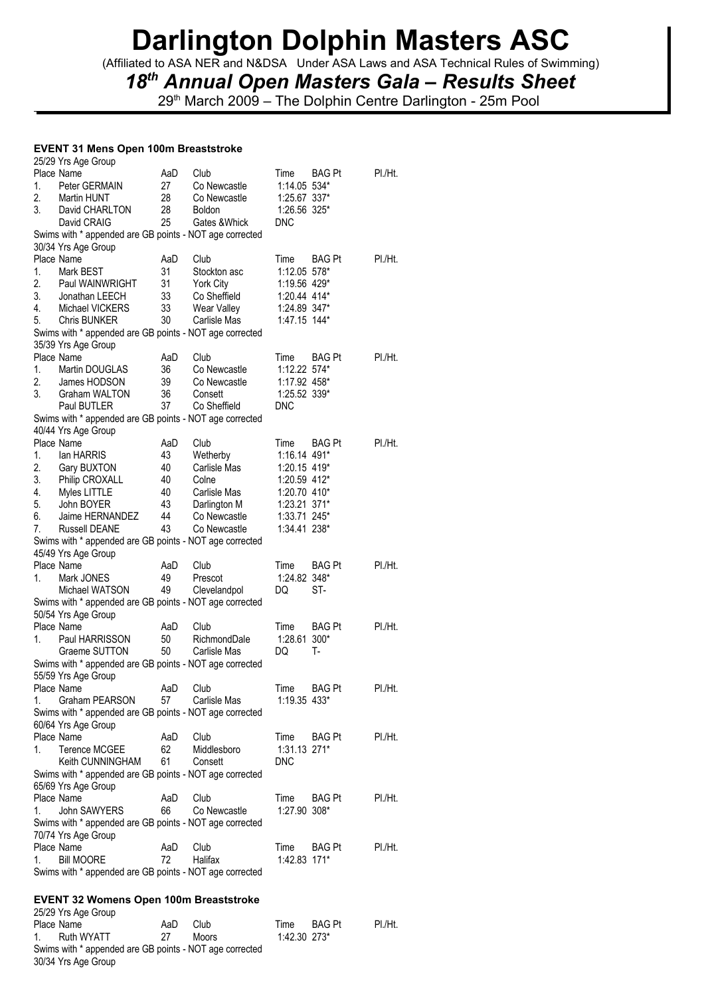(Affiliated to ASA NER and N&DSA Under ASA Laws and ASA Technical Rules of Swimming)

## *18th Annual Open Masters Gala – Results Sheet*

29<sup>th</sup> March 2009 – The Dolphin Centre Darlington - 25m Pool

### **EVENT 31 Mens Open 100m Breaststroke**  25/29 Yrs Age Group

|    | LUILU TIS AYE UIUUP<br>Place Name                       | AaD | Club          | Time           | BAG Pt        | PI./Ht. |
|----|---------------------------------------------------------|-----|---------------|----------------|---------------|---------|
| 1. | Peter GERMAIN                                           | 27  | Co Newcastle  | 1:14.05 534*   |               |         |
| 2. | Martin HUNT                                             | 28  | Co Newcastle  | 1:25.67 337*   |               |         |
| 3. | David CHARLTON                                          | 28  | <b>Boldon</b> | 1:26.56 325*   |               |         |
|    | David CRAIG                                             | 25  | Gates & Whick | <b>DNC</b>     |               |         |
|    | Swims with * appended are GB points - NOT age corrected |     |               |                |               |         |
|    | 30/34 Yrs Age Group                                     |     |               |                |               |         |
|    | Place Name                                              | AaD | Club          | Time           | <b>BAG Pt</b> | PI./Ht. |
| 1. | Mark BEST                                               | 31  | Stockton asc  | 1:12.05 578*   |               |         |
| 2. | Paul WAINWRIGHT                                         | 31  | York City     | 1:19.56 429*   |               |         |
| 3. | Jonathan LEECH                                          | 33  | Co Sheffield  | 1:20.44 414*   |               |         |
| 4. | Michael VICKERS                                         | 33  | Wear Valley   | 1:24.89 347*   |               |         |
| 5. | <b>Chris BUNKER</b>                                     | 30  | Carlisle Mas  | 1:47.15 144*   |               |         |
|    | Swims with * appended are GB points - NOT age corrected |     |               |                |               |         |
|    | 35/39 Yrs Age Group                                     |     |               |                |               |         |
|    | Place Name                                              | AaD | Club          | Time           | <b>BAG Pt</b> | PI./Ht. |
| 1. | Martin DOUGLAS                                          | 36  | Co Newcastle  | 1:12.22 574*   |               |         |
| 2. | James HODSON                                            | 39  | Co Newcastle  | 1:17.92 458*   |               |         |
| 3. | Graham WALTON                                           | 36  | Consett       | 1:25.52 339*   |               |         |
|    | Paul BUTLER                                             | 37  | Co Sheffield  | <b>DNC</b>     |               |         |
|    | Swims with * appended are GB points - NOT age corrected |     |               |                |               |         |
|    | 40/44 Yrs Age Group                                     |     |               |                |               |         |
|    | Place Name                                              | AaD | Club          | Time           | <b>BAG Pt</b> | PI./Ht. |
| 1. | lan HARRIS                                              | 43  | Wetherby      | 1:16.14 491*   |               |         |
| 2. | Gary BUXTON                                             | 40  | Carlisle Mas  | 1:20.15 419*   |               |         |
| 3. | Philip CROXALL                                          | 40  | Colne         | 1:20.59 412*   |               |         |
| 4. | Myles LITTLE                                            | 40  | Carlisle Mas  | 1:20.70 410*   |               |         |
| 5. | John BOYER                                              | 43  | Darlington M  | 1:23.21 371*   |               |         |
| 6. | Jaime HERNANDEZ                                         | 44  | Co Newcastle  | 1:33.71 245*   |               |         |
| 7. | <b>Russell DEANE</b>                                    | 43  | Co Newcastle  | 1:34.41 238*   |               |         |
|    | Swims with * appended are GB points - NOT age corrected |     |               |                |               |         |
|    | 45/49 Yrs Age Group                                     |     |               |                |               |         |
|    | Place Name                                              | AaD | Club          | Time           | <b>BAG Pt</b> | PI./Ht. |
| 1. | Mark JONES                                              | 49  | Prescot       | 1:24.82 348*   |               |         |
|    | Michael WATSON                                          | 49  | Clevelandpol  | DQ             | ST-           |         |
|    | Swims with * appended are GB points - NOT age corrected |     |               |                |               |         |
|    | 50/54 Yrs Age Group                                     |     |               |                |               |         |
|    | Place Name                                              | AaD | Club          | Time           | <b>BAG Pt</b> | PI./Ht. |
| 1. | Paul HARRISSON                                          | 50  | RichmondDale  | 1:28.61        | $300*$        |         |
|    | Graeme SUTTON                                           | 50  | Carlisle Mas  | DQ             | т.            |         |
|    | Swims with * appended are GB points - NOT age corrected |     |               |                |               |         |
|    | 55/59 Yrs Age Group                                     |     |               |                |               |         |
|    | Place Name                                              | AaD | Club          | Time           | BAG Pt        | PI./Ht. |
| 1. | Graham PEARSON                                          | 57  | Carlisle Mas  | $1:19.35$ 433* |               |         |
|    | Swims with * appended are GB points - NOT age corrected |     |               |                |               |         |
|    | 60/64 Yrs Age Group                                     |     |               |                |               |         |
|    | Place Name                                              | AaD | Club          | Time           | BAG Pt        | PI./Ht. |
| 1. | <b>Terence MCGEE</b>                                    | 62  | Middlesboro   | 1:31.13 271*   |               |         |
|    | Keith CUNNINGHAM                                        | 61  | Consett       | <b>DNC</b>     |               |         |
|    | Swims with * appended are GB points - NOT age corrected |     |               |                |               |         |
|    | 65/69 Yrs Age Group                                     |     |               |                |               |         |
|    | Place Name                                              | AaD | Club          | Time           | BAG Pt        | PI./Ht. |
| 1. | John SAWYERS                                            | 66  | Co Newcastle  | 1:27.90 308*   |               |         |
|    | Swims with * appended are GB points - NOT age corrected |     |               |                |               |         |
|    | 70/74 Yrs Age Group                                     |     |               |                |               |         |
|    | Place Name                                              | AaD | Club          | Time           | BAG Pt        | PI./Ht. |
| 1. | <b>Bill MOORE</b>                                       | 72  | Halifax       | 1:42.83 171*   |               |         |
|    | Swims with * appended are GB points - NOT age corrected |     |               |                |               |         |
|    |                                                         |     |               |                |               |         |
|    | <b>EVENT 32 Womens Open 100m Breaststroke</b>           |     |               |                |               |         |
|    | 25/29 Yrs Age Group                                     |     |               |                |               |         |

| LUILU THE MUT UNU                                       |     |              |                |        |         |
|---------------------------------------------------------|-----|--------------|----------------|--------|---------|
| Place Name                                              | AaD | Club         | Time           | BAG Pt | PI./Ht. |
| 1. Ruth WYATT                                           | -27 | <b>Moors</b> | $1:42.30$ 273* |        |         |
| Swims with * appended are GB points - NOT age corrected |     |              |                |        |         |
| 30/34 Yrs Age Group                                     |     |              |                |        |         |